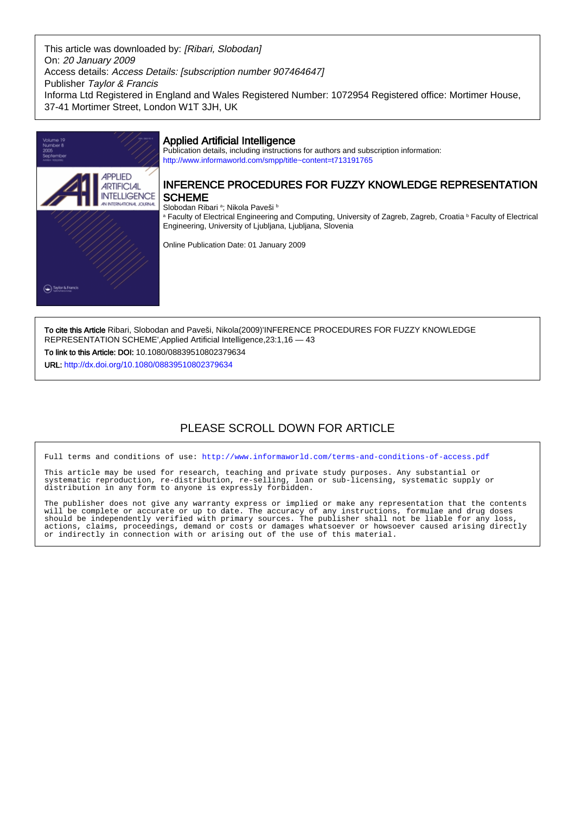This article was downloaded by: [Ribari, Slobodan] On: 20 January 2009 Access details: Access Details: [subscription number 907464647] Publisher Taylor & Francis Informa Ltd Registered in England and Wales Registered Number: 1072954 Registered office: Mortimer House, 37-41 Mortimer Street, London W1T 3JH, UK



To cite this Article Ribari, Slobodan and Paveši, Nikola(2009)'INFERENCE PROCEDURES FOR FUZZY KNOWLEDGE REPRESENTATION SCHEME',Applied Artificial Intelligence,23:1,16 — 43 To link to this Article: DOI: 10.1080/08839510802379634

URL: <http://dx.doi.org/10.1080/08839510802379634>

# PLEASE SCROLL DOWN FOR ARTICLE

Full terms and conditions of use:<http://www.informaworld.com/terms-and-conditions-of-access.pdf>

This article may be used for research, teaching and private study purposes. Any substantial or systematic reproduction, re-distribution, re-selling, loan or sub-licensing, systematic supply or distribution in any form to anyone is expressly forbidden.

The publisher does not give any warranty express or implied or make any representation that the contents will be complete or accurate or up to date. The accuracy of any instructions, formulae and drug doses should be independently verified with primary sources. The publisher shall not be liable for any loss, actions, claims, proceedings, demand or costs or damages whatsoever or howsoever caused arising directly or indirectly in connection with or arising out of the use of this material.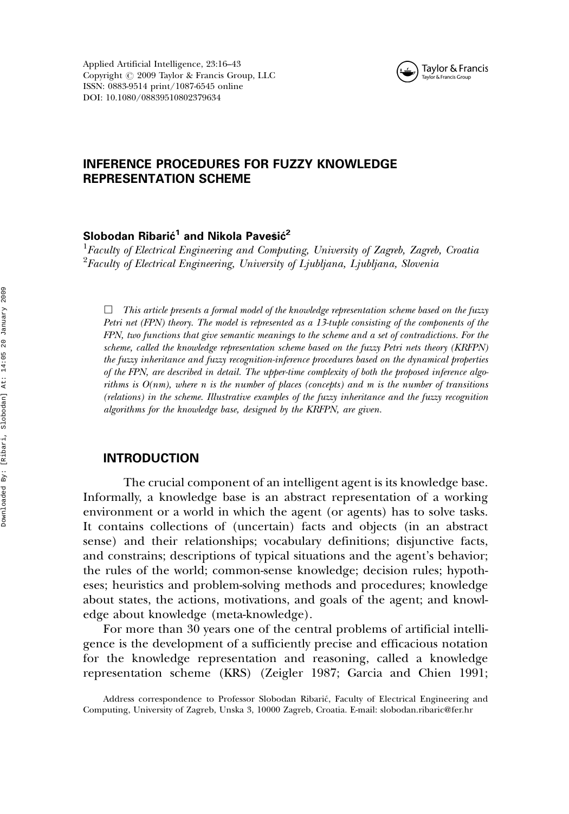Applied Artificial Intelligence, 23:16–43 Copyright  $\odot$  2009 Taylor & Francis Group, LLC ISSN: 0883-9514 print/1087-6545 online DOI: 10.1080/08839510802379634



# INFERENCE PROCEDURES FOR FUZZY KNOWLEDGE REPRESENTATION SCHEME

# Slobodan Ribarić $^{\mathsf{1}}$  and Nikola Pavešić $^{\mathsf{2}}$

 $^1$ Faculty of Electrical Engineering and Computing, University of Zagreb, Zagreb, Croatia  $^{2}$ Faculty of Electrical Engineering, University of Ljubljana, Ljubljana, Slovenia

*&* This article presents a formal model of the knowledge representation scheme based on the fuzzy Petri net (FPN) theory. The model is represented as a 13-tuple consisting of the components of the FPN, two functions that give semantic meanings to the scheme and a set of contradictions. For the scheme, called the knowledge representation scheme based on the fuzzy Petri nets theory (KRFPN) the fuzzy inheritance and fuzzy recognition-inference procedures based on the dynamical properties of the FPN, are described in detail. The upper-time complexity of both the proposed inference algorithms is  $O(nm)$ , where n is the number of places (concepts) and m is the number of transitions (relations) in the scheme. Illustrative examples of the fuzzy inheritance and the fuzzy recognition algorithms for the knowledge base, designed by the KRFPN, are given.

### INTRODUCTION

The crucial component of an intelligent agent is its knowledge base. Informally, a knowledge base is an abstract representation of a working environment or a world in which the agent (or agents) has to solve tasks. It contains collections of (uncertain) facts and objects (in an abstract sense) and their relationships; vocabulary definitions; disjunctive facts, and constrains; descriptions of typical situations and the agent's behavior; the rules of the world; common-sense knowledge; decision rules; hypotheses; heuristics and problem-solving methods and procedures; knowledge about states, the actions, motivations, and goals of the agent; and knowledge about knowledge (meta-knowledge).

For more than 30 years one of the central problems of artificial intelligence is the development of a sufficiently precise and efficacious notation for the knowledge representation and reasoning, called a knowledge representation scheme (KRS) (Zeigler 1987; Garcia and Chien 1991;

Address correspondence to Professor Slobodan Ribarić, Faculty of Electrical Engineering and Computing, University of Zagreb, Unska 3, 10000 Zagreb, Croatia. E-mail: slobodan.ribaric@fer.hr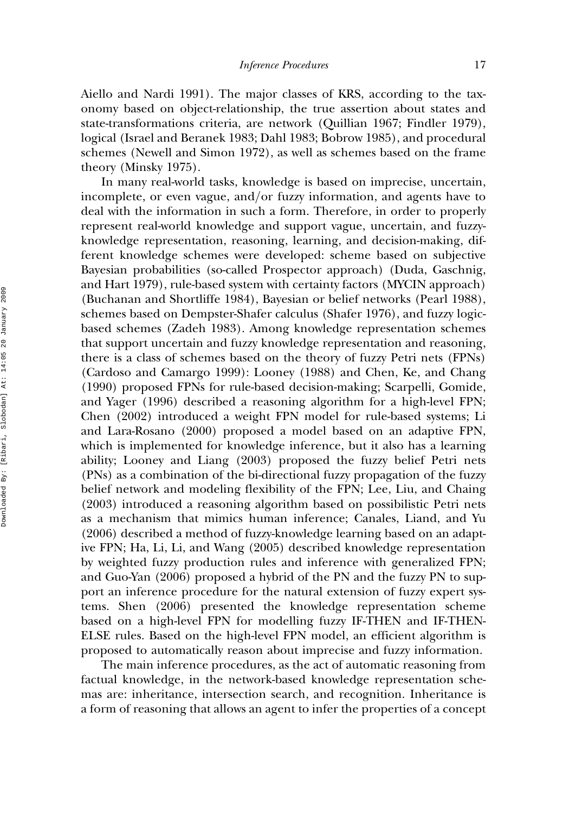Aiello and Nardi 1991). The major classes of KRS, according to the taxonomy based on object-relationship, the true assertion about states and state-transformations criteria, are network (Quillian 1967; Findler 1979), logical (Israel and Beranek 1983; Dahl 1983; Bobrow 1985), and procedural schemes (Newell and Simon 1972), as well as schemes based on the frame theory (Minsky 1975).

In many real-world tasks, knowledge is based on imprecise, uncertain, incomplete, or even vague, and/or fuzzy information, and agents have to deal with the information in such a form. Therefore, in order to properly represent real-world knowledge and support vague, uncertain, and fuzzyknowledge representation, reasoning, learning, and decision-making, different knowledge schemes were developed: scheme based on subjective Bayesian probabilities (so-called Prospector approach) (Duda, Gaschnig, and Hart 1979), rule-based system with certainty factors (MYCIN approach) (Buchanan and Shortliffe 1984), Bayesian or belief networks (Pearl 1988), schemes based on Dempster-Shafer calculus (Shafer 1976), and fuzzy logicbased schemes (Zadeh 1983). Among knowledge representation schemes that support uncertain and fuzzy knowledge representation and reasoning, there is a class of schemes based on the theory of fuzzy Petri nets (FPNs) (Cardoso and Camargo 1999): Looney (1988) and Chen, Ke, and Chang (1990) proposed FPNs for rule-based decision-making; Scarpelli, Gomide, and Yager (1996) described a reasoning algorithm for a high-level FPN; Chen (2002) introduced a weight FPN model for rule-based systems; Li and Lara-Rosano (2000) proposed a model based on an adaptive FPN, which is implemented for knowledge inference, but it also has a learning ability; Looney and Liang (2003) proposed the fuzzy belief Petri nets (PNs) as a combination of the bi-directional fuzzy propagation of the fuzzy belief network and modeling flexibility of the FPN; Lee, Liu, and Chaing (2003) introduced a reasoning algorithm based on possibilistic Petri nets as a mechanism that mimics human inference; Canales, Liand, and Yu (2006) described a method of fuzzy-knowledge learning based on an adaptive FPN; Ha, Li, Li, and Wang (2005) described knowledge representation by weighted fuzzy production rules and inference with generalized FPN; and Guo-Yan (2006) proposed a hybrid of the PN and the fuzzy PN to support an inference procedure for the natural extension of fuzzy expert systems. Shen (2006) presented the knowledge representation scheme based on a high-level FPN for modelling fuzzy IF-THEN and IF-THEN-ELSE rules. Based on the high-level FPN model, an efficient algorithm is proposed to automatically reason about imprecise and fuzzy information.

The main inference procedures, as the act of automatic reasoning from factual knowledge, in the network-based knowledge representation schemas are: inheritance, intersection search, and recognition. Inheritance is a form of reasoning that allows an agent to infer the properties of a concept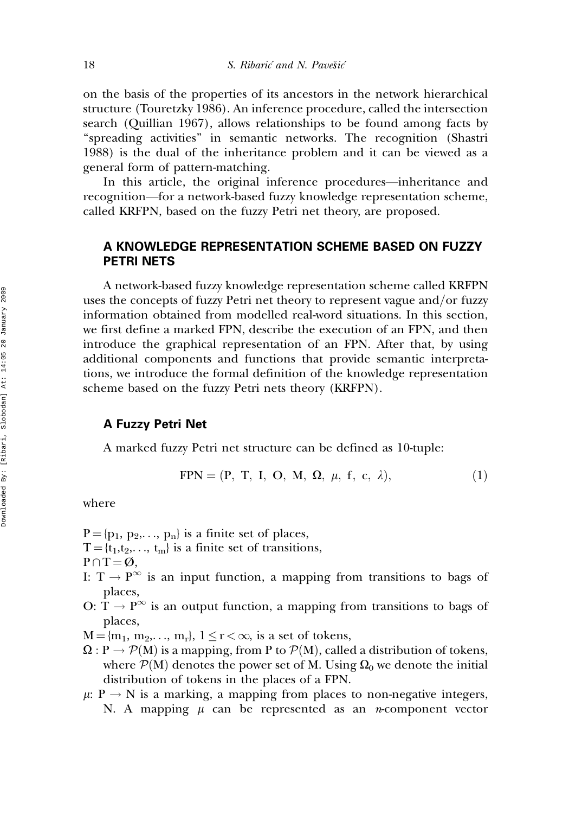on the basis of the properties of its ancestors in the network hierarchical structure (Touretzky 1986). An inference procedure, called the intersection search (Quillian 1967), allows relationships to be found among facts by ''spreading activities'' in semantic networks. The recognition (Shastri 1988) is the dual of the inheritance problem and it can be viewed as a general form of pattern-matching.

In this article, the original inference procedures—inheritance and recognition—for a network-based fuzzy knowledge representation scheme, called KRFPN, based on the fuzzy Petri net theory, are proposed.

# A KNOWLEDGE REPRESENTATION SCHEME BASED ON FUZZY PETRI NETS

A network-based fuzzy knowledge representation scheme called KRFPN uses the concepts of fuzzy Petri net theory to represent vague and/or fuzzy information obtained from modelled real-word situations. In this section, we first define a marked FPN, describe the execution of an FPN, and then introduce the graphical representation of an FPN. After that, by using additional components and functions that provide semantic interpretations, we introduce the formal definition of the knowledge representation scheme based on the fuzzy Petri nets theory (KRFPN).

# A Fuzzy Petri Net

A marked fuzzy Petri net structure can be defined as 10-tuple:

$$
FPN = (P, T, I, O, M, \Omega, \mu, f, c, \lambda), \qquad (1)
$$

where

- $P = \{p_1, p_2,..., p_n\}$  is a finite set of places,
- $T = \{t_1, t_2, \ldots, t_m\}$  is a finite set of transitions,

 $P \cap T = \emptyset$ ,

- I:  $T \rightarrow P^{\infty}$  is an input function, a mapping from transitions to bags of places,
- O:  $T \rightarrow P^{\infty}$  is an output function, a mapping from transitions to bags of places,
- $M = \{m_1, m_2, \ldots, m_r\}, 1 \leq r < \infty$ , is a set of tokens,
- $\Omega: \mathbb{P} \to \mathcal{P}(\mathbb{M})$  is a mapping, from P to  $\mathcal{P}(\mathbb{M})$ , called a distribution of tokens, where  $\mathcal{P}(M)$  denotes the power set of M. Using  $\Omega_0$  we denote the initial distribution of tokens in the places of a FPN.
- $\mu: P \to N$  is a marking, a mapping from places to non-negative integers, N. A mapping  $\mu$  can be represented as an *n*-component vector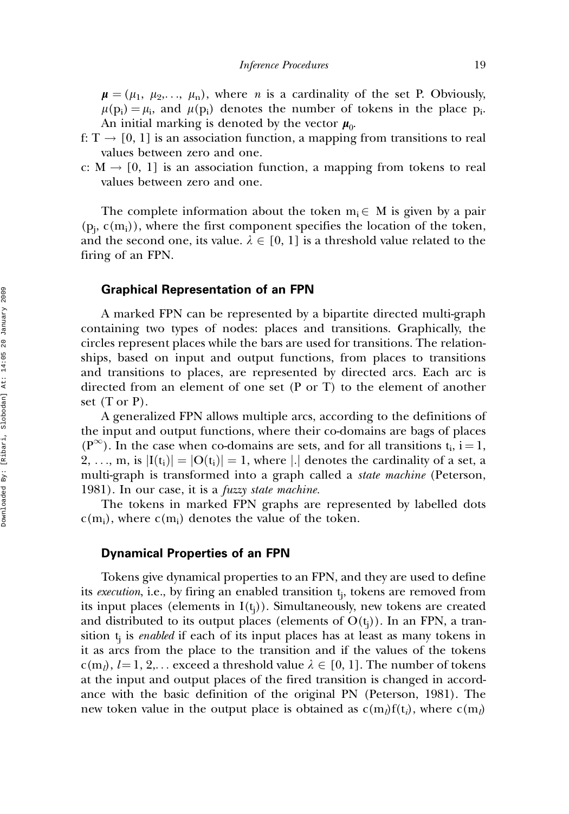$\mu = (\mu_1, \mu_2,..., \mu_n)$ , where *n* is a cardinality of the set P. Obviously,  $\mu(p_i) = \mu_i$ , and  $\mu(p_i)$  denotes the number of tokens in the place p<sub>i</sub>. An initial marking is denoted by the vector  $\mu_0$ .

- f:  $T \rightarrow [0, 1]$  is an association function, a mapping from transitions to real values between zero and one.
- c:  $M \rightarrow [0, 1]$  is an association function, a mapping from tokens to real values between zero and one.

The complete information about the token  $m_i \in M$  is given by a pair  $(p_i, c(m_i))$ , where the first component specifies the location of the token, and the second one, its value.  $\lambda \in [0, 1]$  is a threshold value related to the firing of an FPN.

#### Graphical Representation of an FPN

A marked FPN can be represented by a bipartite directed multi-graph containing two types of nodes: places and transitions. Graphically, the circles represent places while the bars are used for transitions. The relationships, based on input and output functions, from places to transitions and transitions to places, are represented by directed arcs. Each arc is directed from an element of one set (P or T) to the element of another set  $(T \text{ or } P)$ .

A generalized FPN allows multiple arcs, according to the definitions of the input and output functions, where their co-domains are bags of places  $(P^{\infty})$ . In the case when co-domains are sets, and for all transitions  $t_i$ ,  $i = 1$ , 2, ..., m, is  $|I(t_i)| = |O(t_i)| = 1$ , where |.| denotes the cardinality of a set, a multi-graph is transformed into a graph called a *state machine* (Peterson, 1981). In our case, it is a fuzzy state machine.

The tokens in marked FPN graphs are represented by labelled dots  $c(m_i)$ , where  $c(m_i)$  denotes the value of the token.

#### Dynamical Properties of an FPN

Tokens give dynamical properties to an FPN, and they are used to define its *execution*, i.e., by firing an enabled transition  $\mathfrak{t}_{\mathfrak{j}},$  tokens are removed from its input places (elements in  $I(t_j)$ ). Simultaneously, new tokens are created and distributed to its output places (elements of  $\mathrm{O}(\mathfrak{t}_{\mathsf{j}})$ ). In an FPN, a transition  $t_i$  is *enabled* if each of its input places has at least as many tokens in it as arcs from the place to the transition and if the values of the tokens  $c(m_l), l=1, 2,...$  exceed a threshold value  $\lambda \in [0, 1]$ . The number of tokens at the input and output places of the fired transition is changed in accordance with the basic definition of the original PN (Peterson, 1981). The new token value in the output place is obtained as  $c(m_l)f(t_i)$ , where  $c(m_l)$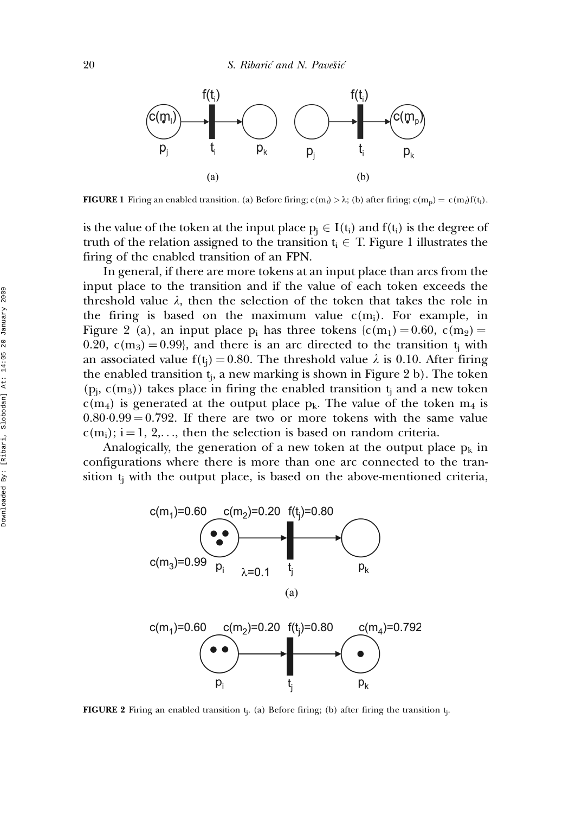

**FIGURE 1** Firing an enabled transition. (a) Before firing;  $c(m_l) > \lambda$ ; (b) after firing;  $c(m_p) = c(m_l) f(t_i)$ .

is the value of the token at the input place  $p_i \in I(t_i)$  and  $f(t_i)$  is the degree of truth of the relation assigned to the transition  $t_i \in T$ . Figure 1 illustrates the firing of the enabled transition of an FPN.

In general, if there are more tokens at an input place than arcs from the input place to the transition and if the value of each token exceeds the threshold value  $\lambda$ , then the selection of the token that takes the role in the firing is based on the maximum value  $c(m_i)$ . For example, in Figure 2 (a), an input place  $p_i$  has three tokens  $(c(m_1) = 0.60, c(m_2) =$ 0.20,  $c(m_3) = 0.99$ , and there is an arc directed to the transition t<sub>i</sub> with an associated value  $f(t_i) = 0.80$ . The threshold value  $\lambda$  is 0.10. After firing the enabled transition  $t_i$ , a new marking is shown in Figure 2 b). The token  $(p_j, c(m_3))$  takes place in firing the enabled transition  $t_j$  and a new token  $c(m_4)$  is generated at the output place  $p_k$ . The value of the token  $m_4$  is  $0.80 \cdot 0.99 = 0.792$ . If there are two or more tokens with the same value  $c(m_i)$ ; i = 1, 2,..., then the selection is based on random criteria.

Analogically, the generation of a new token at the output place  $p_k$  in configurations where there is more than one arc connected to the transition  $t_i$  with the output place, is based on the above-mentioned criteria,



**FIGURE 2** Firing an enabled transition  $t_j$ . (a) Before firing; (b) after firing the transition  $t_j$ .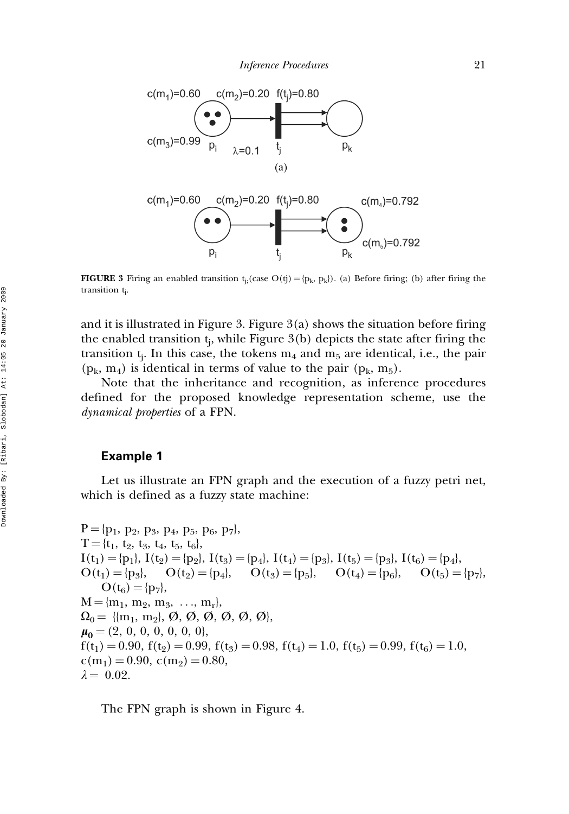

**FIGURE 3** Firing an enabled transition  $t_j$ ; (case  $O(tj) = {p_k, p_k}$ ). (a) Before firing; (b) after firing the transition tj .

and it is illustrated in Figure 3. Figure  $3(a)$  shows the situation before firing the enabled transition  $t_i$ , while Figure 3(b) depicts the state after firing the transition  $t_i$ . In this case, the tokens  $m_4$  and  $m_5$  are identical, i.e., the pair  $(p_k, m_4)$  is identical in terms of value to the pair  $(p_k, m_5)$ .

Note that the inheritance and recognition, as inference procedures defined for the proposed knowledge representation scheme, use the dynamical properties of a FPN.

### Example 1

Let us illustrate an FPN graph and the execution of a fuzzy petri net, which is defined as a fuzzy state machine:

 $P = \{p_1, p_2, p_3, p_4, p_5, p_6, p_7\},\$  $T = \{t_1, t_2, t_3, t_4, t_5, t_6\},\$  $I(t_1) = {p_1}, I(t_2) = {p_2}, I(t_3) = {p_4}, I(t_4) = {p_3}, I(t_5) = {p_3}, I(t_6) = {p_4},$  $O(t_1) = \{p_3\}, \quad O(t_2) = \{p_4\}, \quad O(t_3) = \{p_5\}, \quad O(t_4) = \{p_6\}, \quad O(t_5) = \{p_7\},\$  $O(t_6) = {p_7},$  $M = \{m_1, m_2, m_3, \ldots, m_r\},\$  $\Omega_0 = \{ \{m_1, m_2\}, \emptyset, \emptyset, \emptyset, \emptyset, \emptyset, \emptyset, \emptyset \},\$  $\mu_0 = (2, 0, 0, 0, 0, 0, 0)$  $f(t_1) = 0.90$ ,  $f(t_2) = 0.99$ ,  $f(t_3) = 0.98$ ,  $f(t_4) = 1.0$ ,  $f(t_5) = 0.99$ ,  $f(t_6) = 1.0$ ,  $c(m_1) = 0.90, c(m_2) = 0.80,$  $\lambda = 0.02$ .

The FPN graph is shown in Figure 4.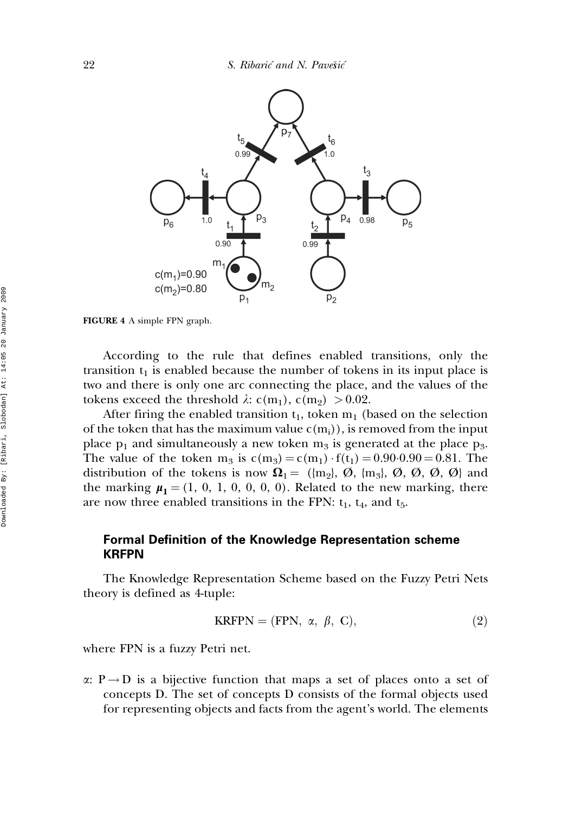

FIGURE 4 A simple FPN graph.

According to the rule that defines enabled transitions, only the transition  $t_1$  is enabled because the number of tokens in its input place is two and there is only one arc connecting the place, and the values of the tokens exceed the threshold  $\lambda$ : c(m<sub>1</sub>), c(m<sub>2</sub>) > 0.02.

After firing the enabled transition  $t_1$ , token  $m_1$  (based on the selection of the token that has the maximum value  $c(m_i)$ , is removed from the input place  $p_1$  and simultaneously a new token  $m_3$  is generated at the place  $p_3$ . The value of the token  $m_3$  is  $c(m_3) = c(m_1) \cdot f(t_1) = 0.90 \cdot 0.90 = 0.81$ . The distribution of the tokens is now  $\Omega_1 = ({m_2}, \emptyset, {m_3}, \emptyset, \emptyset, \emptyset, \emptyset)$  and the marking  $\mu_1 = (1, 0, 1, 0, 0, 0, 0)$ . Related to the new marking, there are now three enabled transitions in the FPN:  $t_1$ ,  $t_4$ , and  $t_5$ .

# Formal Definition of the Knowledge Representation scheme KRFPN

The Knowledge Representation Scheme based on the Fuzzy Petri Nets theory is defined as 4-tuple:

$$
KRFPN = (FPN, \alpha, \beta, C), \qquad (2)
$$

where FPN is a fuzzy Petri net.

 $\alpha: P \rightarrow D$  is a bijective function that maps a set of places onto a set of concepts D. The set of concepts D consists of the formal objects used for representing objects and facts from the agent's world. The elements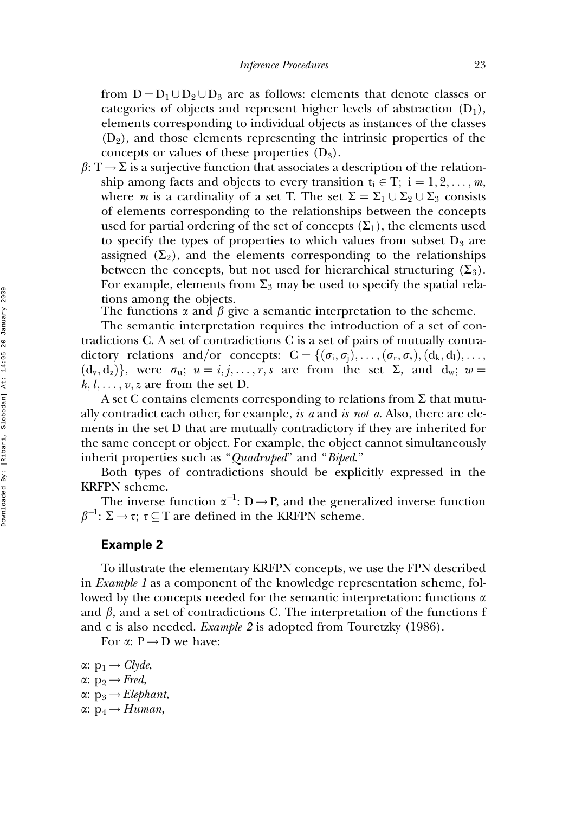from  $D = D_1 \cup D_2 \cup D_3$  are as follows: elements that denote classes or categories of objects and represent higher levels of abstraction  $(D_1)$ , elements corresponding to individual objects as instances of the classes  $(D_2)$ , and those elements representing the intrinsic properties of the concepts or values of these properties  $(D_3)$ .

 $\beta: T \rightarrow \Sigma$  is a surjective function that associates a description of the relationship among facts and objects to every transition  $t_i \in T$ ;  $i = 1, 2, \ldots, m$ , where *m* is a cardinality of a set T. The set  $\Sigma = \Sigma_1 \cup \Sigma_2 \cup \Sigma_3$  consists of elements corresponding to the relationships between the concepts used for partial ordering of the set of concepts  $(\Sigma_1)$ , the elements used to specify the types of properties to which values from subset  $D_3$  are assigned  $(\Sigma_2)$ , and the elements corresponding to the relationships between the concepts, but not used for hierarchical structuring  $(\Sigma_3)$ . For example, elements from  $\Sigma_3$  may be used to specify the spatial relations among the objects.

The functions  $\alpha$  and  $\beta$  give a semantic interpretation to the scheme.

The semantic interpretation requires the introduction of a set of contradictions C. A set of contradictions C is a set of pairs of mutually contradictory relations and/or concepts:  $C = \{(\sigma_i, \sigma_i), \ldots, (\sigma_r, \sigma_s), (d_k, d_l), \ldots,$  $(d_v, d_z)$ , were  $\sigma_u$ ;  $u = i, j, \ldots, r, s$  are from the set  $\Sigma$ , and  $d_w$ ;  $w =$  $k, l, \ldots, v, z$  are from the set D.

A set C contains elements corresponding to relations from  $\Sigma$  that mutually contradict each other, for example, is a and is not a. Also, there are elements in the set D that are mutually contradictory if they are inherited for the same concept or object. For example, the object cannot simultaneously inherit properties such as "Quadruped" and "Biped."

Both types of contradictions should be explicitly expressed in the KRFPN scheme.

The inverse function  $\alpha^{-1}$ : D  $\rightarrow$  P, and the generalized inverse function  $\beta^{-1}$ :  $\Sigma \rightarrow \tau$ ;  $\tau \subseteq T$  are defined in the KRFPN scheme.

#### Example 2

To illustrate the elementary KRFPN concepts, we use the FPN described in *Example 1* as a component of the knowledge representation scheme, followed by the concepts needed for the semantic interpretation: functions  $\alpha$ and  $\beta$ , and a set of contradictions C. The interpretation of the functions f and c is also needed. *Example 2* is adopted from Touretzky (1986).

For  $\alpha: P \rightarrow D$  we have:

 $\alpha: p_1 \rightarrow Clyde$ ,  $\alpha: p_2 \rightarrow Fred$ ,  $\alpha: p_3 \rightarrow Elephant$  $\alpha: p_4 \rightarrow Human$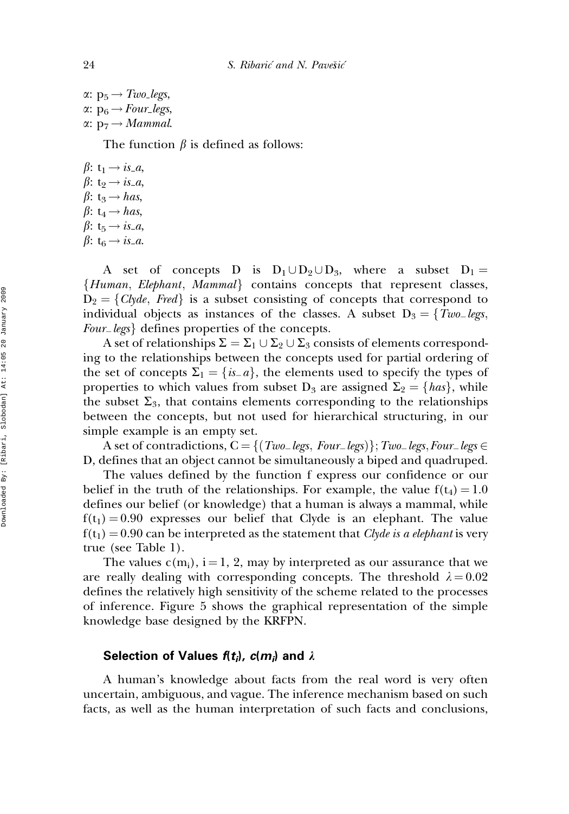$\alpha: p_5 \rightarrow Two\text{ legs},$  $\alpha: p_6 \rightarrow Four\_legs,$  $\alpha: p_7 \rightarrow Mammal.$ 

The function  $\beta$  is defined as follows:

 $\beta$ : t<sub>1</sub>  $\rightarrow$  *is a*,  $\beta: t_2 \rightarrow i s_a$ ,  $\beta$ : t<sub>3</sub>  $\rightarrow$  has,  $\beta$ : t<sub>4</sub>  $\rightarrow$  has,  $\beta$ : t<sub>5</sub>  $\rightarrow$  *is a*,  $\beta$ : t<sub>6</sub>  $\rightarrow$  *is a.* 

A set of concepts D is  $D_1 \cup D_2 \cup D_3$ , where a subset  $D_1 =$  ${Human, Elephant, Mammal}$  contains concepts that represent classes,  $D_2 = \{Clyde, Fred\}$  is a subset consisting of concepts that correspond to individual objects as instances of the classes. A subset  $D_3 = \{Two\_legs,$ Four<sub>legs</sub> defines properties of the concepts.

A set of relationships  $\Sigma = \Sigma_1 \cup \Sigma_2 \cup \Sigma_3$  consists of elements corresponding to the relationships between the concepts used for partial ordering of the set of concepts  $\Sigma_1 = \{is_a\}$ , the elements used to specify the types of properties to which values from subset  $D_3$  are assigned  $\Sigma_2 = \{ has \}$ , while the subset  $\Sigma_3$ , that contains elements corresponding to the relationships between the concepts, but not used for hierarchical structuring, in our simple example is an empty set.

A set of contradictions,  $C = \{ (Two\_legs, Four\_legs) \}$ ; Two legs, Four legs  $\in$ D, defines that an object cannot be simultaneously a biped and quadruped.

The values defined by the function f express our confidence or our belief in the truth of the relationships. For example, the value  $f(t_4) = 1.0$ defines our belief (or knowledge) that a human is always a mammal, while  $f(t_1) = 0.90$  expresses our belief that Clyde is an elephant. The value  $f(t_1) = 0.90$  can be interpreted as the statement that Clyde is a elephant is very true (see Table 1).

The values  $c(m_i)$ , i = 1, 2, may by interpreted as our assurance that we are really dealing with corresponding concepts. The threshold  $\lambda = 0.02$ defines the relatively high sensitivity of the scheme related to the processes of inference. Figure 5 shows the graphical representation of the simple knowledge base designed by the KRFPN.

### Selection of Values  $f(t_i)$ ,  $c(m_i)$  and  $\lambda$

A human's knowledge about facts from the real word is very often uncertain, ambiguous, and vague. The inference mechanism based on such facts, as well as the human interpretation of such facts and conclusions,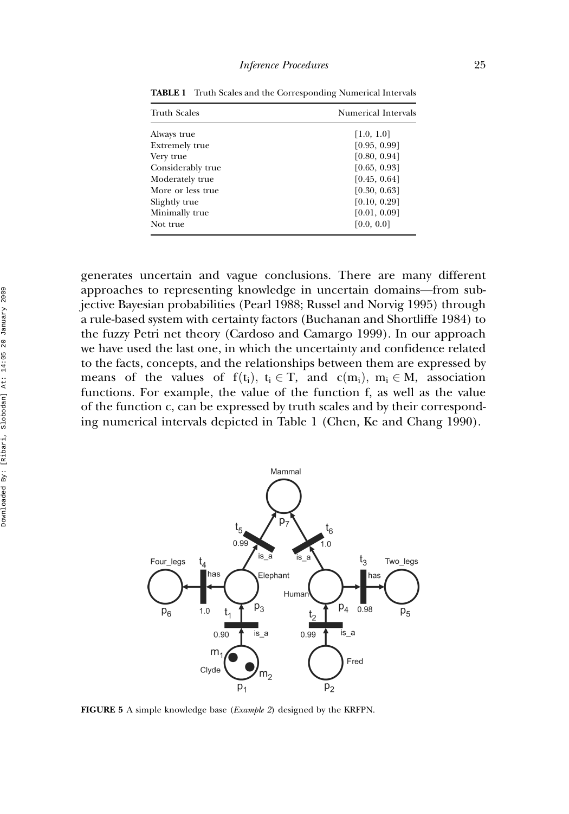| <b>Truth Scales</b>   | Numerical Intervals |
|-----------------------|---------------------|
| Always true           | [1.0, 1.0]          |
| <b>Extremely true</b> | [0.95, 0.99]        |
| Very true             | [0.80, 0.94]        |
| Considerably true     | [0.65, 0.93]        |
| Moderately true       | [0.45, 0.64]        |
| More or less true     | [0.30, 0.63]        |
| Slightly true         | [0.10, 0.29]        |
| Minimally true        | [0.01, 0.09]        |
| Not true              | [0.0, 0.0]          |

TABLE 1 Truth Scales and the Corresponding Numerical Intervals

generates uncertain and vague conclusions. There are many different approaches to representing knowledge in uncertain domains—from subjective Bayesian probabilities (Pearl 1988; Russel and Norvig 1995) through a rule-based system with certainty factors (Buchanan and Shortliffe 1984) to the fuzzy Petri net theory (Cardoso and Camargo 1999). In our approach we have used the last one, in which the uncertainty and confidence related to the facts, concepts, and the relationships between them are expressed by means of the values of  $f(t_i)$ ,  $t_i \in T$ , and  $c(m_i)$ ,  $m_i \in M$ , association functions. For example, the value of the function f, as well as the value of the function c, can be expressed by truth scales and by their corresponding numerical intervals depicted in Table 1 (Chen, Ke and Chang 1990).



FIGURE 5 A simple knowledge base (Example 2) designed by the KRFPN.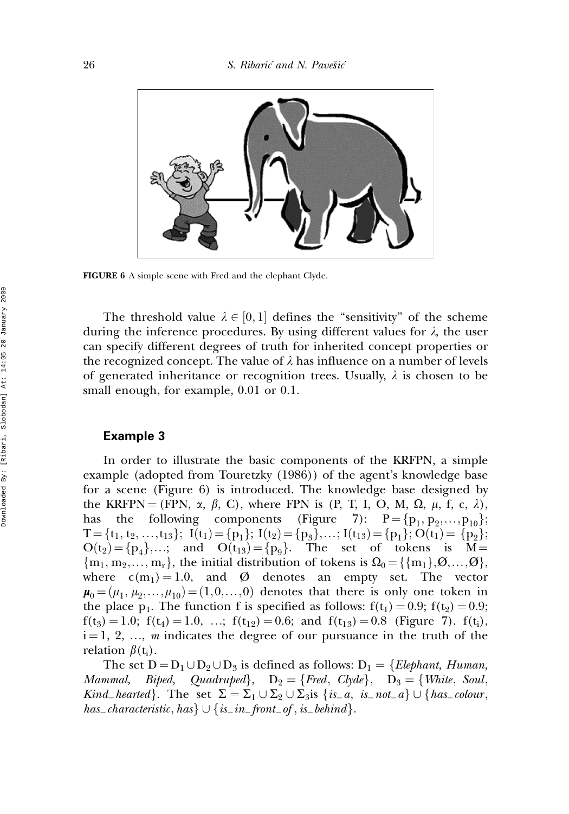

FIGURE 6 A simple scene with Fred and the elephant Clyde.

The threshold value  $\lambda \in [0,1]$  defines the "sensitivity" of the scheme during the inference procedures. By using different values for  $\lambda$ , the user can specify different degrees of truth for inherited concept properties or the recognized concept. The value of  $\lambda$  has influence on a number of levels of generated inheritance or recognition trees. Usually,  $\lambda$  is chosen to be small enough, for example, 0.01 or 0.1.

#### Example 3

In order to illustrate the basic components of the KRFPN, a simple example (adopted from Touretzky (1986)) of the agent's knowledge base for a scene (Figure 6) is introduced. The knowledge base designed by the KRFPN = (FPN,  $\alpha$ ,  $\beta$ , C), where FPN is (P, T, I, O, M,  $\Omega$ ,  $\mu$ , f, c,  $\lambda$ ), has the following components (Figure 7):  $P = \{p_1, p_2,...,p_{10}\};$  $T = \{t_1, t_2, ..., t_{13}\};$   $I(t_1) = \{p_1\};$   $I(t_2) = \{p_3\}, ...; I(t_{13}) = \{p_1\};$   $O(t_1) = \{p_2\};$  $O(t_2) = \{p_4\},\dots;$  and  $O(t_{13}) = \{p_9\}.$  The set of tokens is M  ${m_1, m_2,..., m_r}$ , the initial distribution of tokens is  $\Omega_0 = {\{m_1\}, \emptyset,..., \emptyset\}}$ , where  $c(m_1) = 1.0$ , and  $\varnothing$  denotes an empty set. The vector  $\mu_0 = (\mu_1, \mu_2, \ldots, \mu_{10}) = (1, 0, \ldots, 0)$  denotes that there is only one token in the place  $p_1$ . The function f is specified as follows:  $f(t_1) = 0.9$ ;  $f(t_2) = 0.9$ ;  $f(t_3) = 1.0$ ;  $f(t_4) = 1.0$ , ...;  $f(t_{12}) = 0.6$ ; and  $f(t_{13}) = 0.8$  (Figure 7).  $f(t_i)$ ,  $i = 1, 2, ..., m$  indicates the degree of our pursuance in the truth of the relation  $\beta(t_i)$ .

The set  $D = D_1 \cup D_2 \cup D_3$  is defined as follows:  $D_1 = \{Elephant, Human,$ Mammal, Biped, Quadruped $\}$ ,  $D_2 = \{Fred, Clyde\}$ ,  $D_3 = \{White, Soul,$ Kind\_hearted}. The set  $\Sigma = \Sigma_1 \cup \Sigma_2 \cup \Sigma_3$  is  $\{is_a, is\_not_a\} \cup \{has\_colour,$ has characteristic, has  $\cup \{is\_in\_front\_of, is\_behind\}.$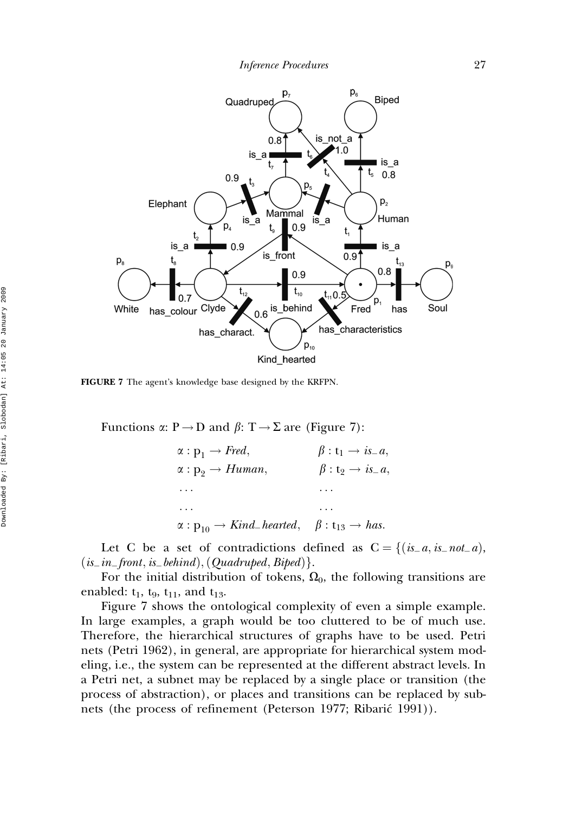

FIGURE 7 The agent's knowledge base designed by the KRFPN.

Functions  $\alpha: P \to D$  and  $\beta: T \to \Sigma$  are (Figure 7):

 $\alpha : \mathbf{p}_1 \rightarrow \text{Fred}, \qquad \beta : \mathbf{t}_1 \rightarrow \text{is}_-a,$ <br>  $\alpha : \mathbf{p}_2 \rightarrow \text{Human}, \qquad \beta : \mathbf{t}_2 \rightarrow \text{is}_-a,$  $\alpha : p_9 \rightarrow Human$ ... ... ... ...  $\alpha : p_{10} \rightarrow Kind\_hearted, \quad \beta : t_{13} \rightarrow has.$ 

Let C be a set of contradictions defined as  $C = \{(is_a, is_{i-}not_{-}a),\}$  $(is_in_functionis_behind),(Quadruped, Biped).$ 

For the initial distribution of tokens,  $\Omega_0$ , the following transitions are enabled:  $t_1$ ,  $t_9$ ,  $t_{11}$ , and  $t_{13}$ .

Figure 7 shows the ontological complexity of even a simple example. In large examples, a graph would be too cluttered to be of much use. Therefore, the hierarchical structures of graphs have to be used. Petri nets (Petri 1962), in general, are appropriate for hierarchical system modeling, i.e., the system can be represented at the different abstract levels. In a Petri net, a subnet may be replaced by a single place or transition (the process of abstraction), or places and transitions can be replaced by subnets (the process of refinement (Peterson 1977; Ribarić 1991)).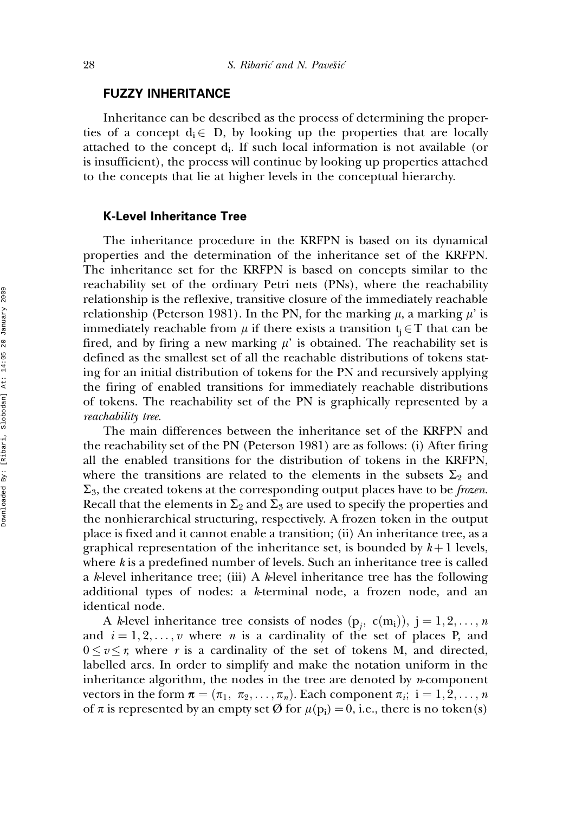# FUZZY INHERITANCE

Inheritance can be described as the process of determining the properties of a concept  $d_i \in D$ , by looking up the properties that are locally attached to the concept  $d_i$ . If such local information is not available (or is insufficient), the process will continue by looking up properties attached to the concepts that lie at higher levels in the conceptual hierarchy.

# K-Level Inheritance Tree

The inheritance procedure in the KRFPN is based on its dynamical properties and the determination of the inheritance set of the KRFPN. The inheritance set for the KRFPN is based on concepts similar to the reachability set of the ordinary Petri nets (PNs), where the reachability relationship is the reflexive, transitive closure of the immediately reachable relationship (Peterson 1981). In the PN, for the marking  $\mu$ , a marking  $\mu'$  is immediately reachable from  $\mu$  if there exists a transition  $t_i \in T$  that can be fired, and by firing a new marking  $\mu'$  is obtained. The reachability set is defined as the smallest set of all the reachable distributions of tokens stating for an initial distribution of tokens for the PN and recursively applying the firing of enabled transitions for immediately reachable distributions of tokens. The reachability set of the PN is graphically represented by a reachability tree.

The main differences between the inheritance set of the KRFPN and the reachability set of the PN (Peterson 1981) are as follows: (i) After firing all the enabled transitions for the distribution of tokens in the KRFPN, where the transitions are related to the elements in the subsets  $\Sigma_2$  and  $\Sigma_3$ , the created tokens at the corresponding output places have to be *frozen*. Recall that the elements in  $\Sigma_2$  and  $\Sigma_3$  are used to specify the properties and the nonhierarchical structuring, respectively. A frozen token in the output place is fixed and it cannot enable a transition; (ii) An inheritance tree, as a graphical representation of the inheritance set, is bounded by  $k+1$  levels, where k is a predefined number of levels. Such an inheritance tree is called a k-level inheritance tree; (iii) A k-level inheritance tree has the following additional types of nodes: a k-terminal node, a frozen node, and an identical node.

A *k*-level inheritance tree consists of nodes  $(p_j, c(m_i)), j = 1, 2, ..., n$ and  $i = 1, 2, \ldots, v$  where *n* is a cardinality of the set of places P, and  $0 \le v \le r$ , where r is a cardinality of the set of tokens M, and directed, labelled arcs. In order to simplify and make the notation uniform in the inheritance algorithm, the nodes in the tree are denoted by  $n$ -component vectors in the form  $\boldsymbol{\pi} = (\pi_1, \ \pi_2, \ldots, \pi_n)$ . Each component  $\pi_i$ ;  $i = 1, 2, \ldots, n$ of  $\pi$  is represented by an empty set  $\varnothing$  for  $\mu(p_i) = 0$ , i.e., there is no token(s)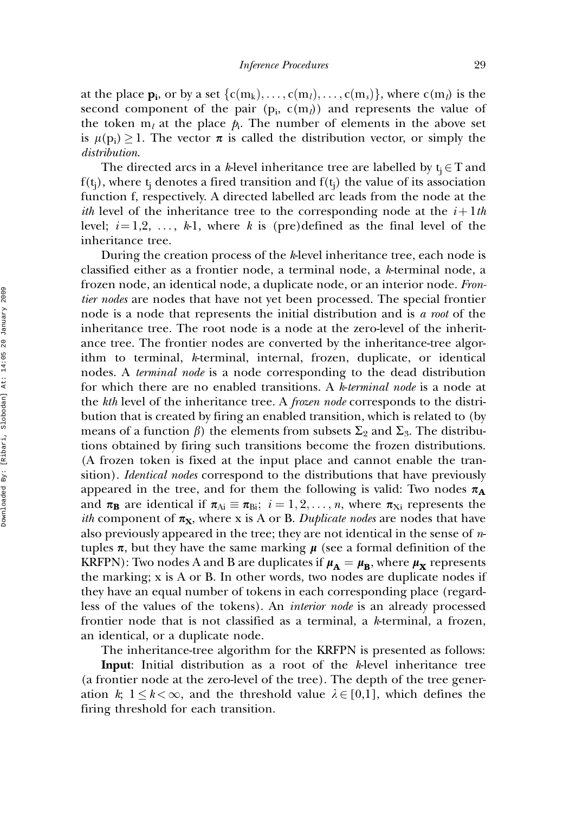at the place  $\mathbf{p_i}$ , or by a set  $\{c(m_k), \ldots, c(m_l), \ldots, c(m_s)\}\$ , where  $c(m_l)$  is the second component of the pair  $(p_i, c(m_l))$  and represents the value of the token  $m_l$  at the place  $p_i$ . The number of elements in the above set is  $\mu(p_i) \geq 1$ . The vector  $\pi$  is called the distribution vector, or simply the distribution.

The directed arcs in a k-level inheritance tree are labelled by  $t_i \in T$  and  $f(t_i)$ , where  $t_i$  denotes a fired transition and  $f(t_i)$  the value of its association function f, respectively. A directed labelled arc leads from the node at the *ith* level of the inheritance tree to the corresponding node at the  $i+1$ th level;  $i = 1,2, \ldots, k-1$ , where k is (pre)defined as the final level of the inheritance tree.

During the creation process of the k-level inheritance tree, each node is classified either as a frontier node, a terminal node, a k-terminal node, a frozen node, an identical node, a duplicate node, or an interior node. Frontier nodes are nodes that have not yet been processed. The special frontier node is a node that represents the initial distribution and is a root of the inheritance tree. The root node is a node at the zero-level of the inheritance tree. The frontier nodes are converted by the inheritance-tree algorithm to terminal, k-terminal, internal, frozen, duplicate, or identical nodes. A terminal node is a node corresponding to the dead distribution for which there are no enabled transitions. A k-terminal node is a node at the kth level of the inheritance tree. A frozen node corresponds to the distribution that is created by firing an enabled transition, which is related to (by means of a function  $\beta$ ) the elements from subsets  $\Sigma_2$  and  $\Sigma_3$ . The distributions obtained by firing such transitions become the frozen distributions. (A frozen token is fixed at the input place and cannot enable the transition). *Identical nodes* correspond to the distributions that have previously appeared in the tree, and for them the following is valid: Two nodes  $\pi_A$ and  $\pi_{\mathbf{B}}$  are identical if  $\pi_{Ai} \equiv \pi_{Bi}$ ;  $i = 1, 2, ..., n$ , where  $\pi_{Xi}$  represents the *ith* component of  $\pi_{\mathbf{X}}$ , where x is A or B. Duplicate nodes are nodes that have also previously appeared in the tree; they are not identical in the sense of  $n$ tuples  $\pi$ , but they have the same marking  $\mu$  (see a formal definition of the KRFPN): Two nodes A and B are duplicates if  $\mu_A = \mu_B$ , where  $\mu_X$  represents the marking; x is A or B. In other words, two nodes are duplicate nodes if they have an equal number of tokens in each corresponding place (regardless of the values of the tokens). An interior node is an already processed frontier node that is not classified as a terminal, a k-terminal, a frozen, an identical, or a duplicate node.

The inheritance-tree algorithm for the KRFPN is presented as follows:

**Input:** Initial distribution as a root of the k-level inheritance tree (a frontier node at the zero-level of the tree). The depth of the tree generation k;  $1 \leq k < \infty$ , and the threshold value  $\lambda \in [0,1]$ , which defines the firing threshold for each transition.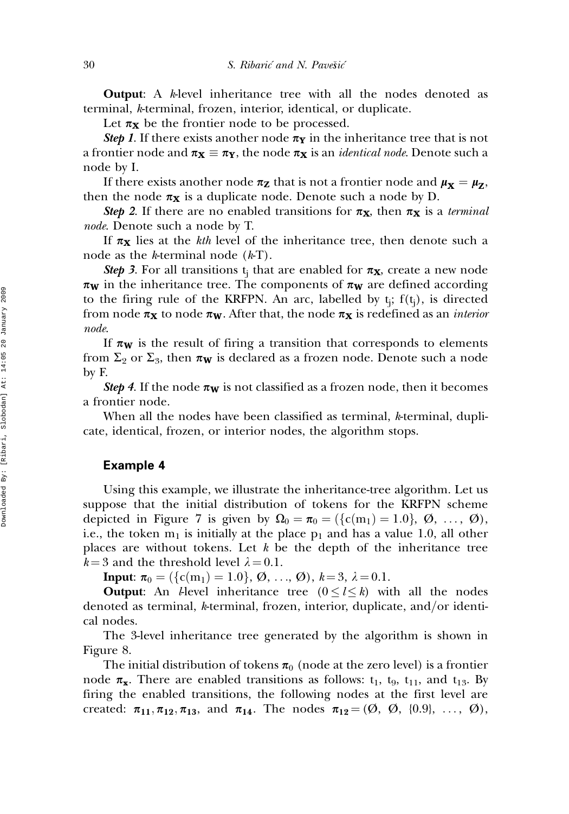**Output:** A k-level inheritance tree with all the nodes denoted as terminal, k-terminal, frozen, interior, identical, or duplicate.

Let  $\pi_{\mathbf{X}}$  be the frontier node to be processed.

**Step 1.** If there exists another node  $\pi_Y$  in the inheritance tree that is not a frontier node and  $\pi_{\mathbf{X}} \equiv \pi_{\mathbf{Y}}$ , the node  $\pi_{\mathbf{X}}$  is an *identical node*. Denote such a node by I.

If there exists another node  $\pi_{\mathbf{Z}}$  that is not a frontier node and  $\mu_{\mathbf{X}} = \mu_{\mathbf{Z}}$ , then the node  $\pi_X$  is a duplicate node. Denote such a node by D.

Step 2. If there are no enabled transitions for  $\pi_X$ , then  $\pi_X$  is a terminal node. Denote such a node by T.

If  $\pi_X$  lies at the kth level of the inheritance tree, then denote such a node as the *k*-terminal node  $(kT)$ .

**Step 3.** For all transitions t<sub>i</sub> that are enabled for  $\pi_X$ , create a new node  $\pi_{\mathbf{W}}$  in the inheritance tree. The components of  $\pi_{\mathbf{W}}$  are defined according to the firing rule of the KRFPN. An arc, labelled by  $t_i$ ;  $f(t_i)$ , is directed from node  $\pi_X$  to node  $\pi_W$ . After that, the node  $\pi_X$  is redefined as an *interior* node.

If  $\pi_{\mathbf{W}}$  is the result of firing a transition that corresponds to elements from  $\Sigma_2$  or  $\Sigma_3$ , then  $\pi_{\mathbf{W}}$  is declared as a frozen node. Denote such a node by F.

**Step 4.** If the node  $\pi_W$  is not classified as a frozen node, then it becomes a frontier node.

When all the nodes have been classified as terminal, k-terminal, duplicate, identical, frozen, or interior nodes, the algorithm stops.

### Example 4

Using this example, we illustrate the inheritance-tree algorithm. Let us suppose that the initial distribution of tokens for the KRFPN scheme depicted in Figure 7 is given by  $\Omega_0 = \pi_0 = (\{c(m_1) = 1.0\}, \emptyset, \ldots, \emptyset),$ i.e., the token  $m_1$  is initially at the place  $p_1$  and has a value 1.0, all other places are without tokens. Let  $k$  be the depth of the inheritance tree  $k = 3$  and the threshold level  $\lambda = 0.1$ .

**Input:**  $\pi_0 = (\{c(m_1) = 1.0\}, \emptyset, ..., \emptyset), k = 3, \lambda = 0.1.$ 

**Output:** An *l*-level inheritance tree  $(0 \le l \le k)$  with all the nodes denoted as terminal, k-terminal, frozen, interior, duplicate, and/or identical nodes.

The 3-level inheritance tree generated by the algorithm is shown in Figure 8.

The initial distribution of tokens  $\pi_0$  (node at the zero level) is a frontier node  $\pi_{\mathbf{x}}$ . There are enabled transitions as follows:  $t_1$ ,  $t_9$ ,  $t_{11}$ , and  $t_{13}$ . By firing the enabled transitions, the following nodes at the first level are created:  $\pi_{11}, \pi_{12}, \pi_{13}$ , and  $\pi_{14}$ . The nodes  $\pi_{12} = (\emptyset, \emptyset, \{0.9\}, \ldots, \emptyset)$ ,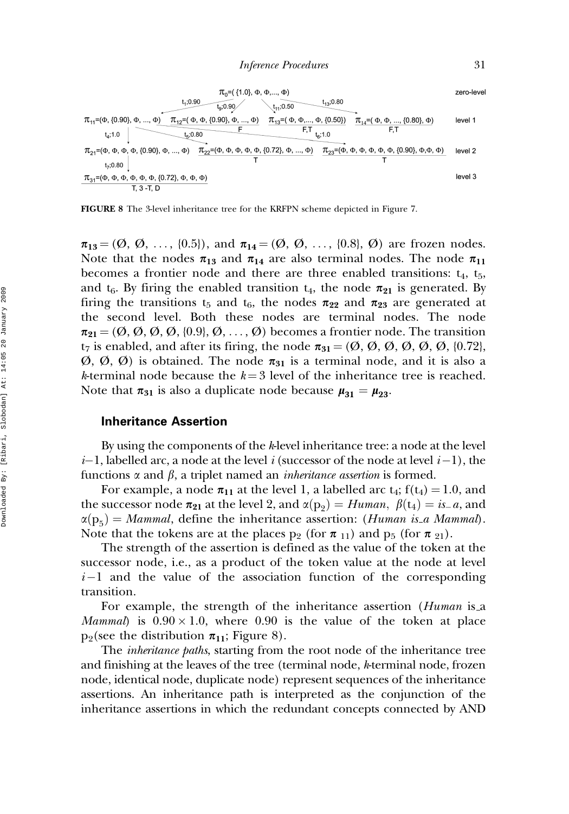

FIGURE 8 The 3-level inheritance tree for the KRFPN scheme depicted in Figure 7.

 $\pi_{13} = (\emptyset, \emptyset, \ldots, \{0.5\}),$  and  $\pi_{14} = (\emptyset, \emptyset, \ldots, \{0.8\}, \emptyset)$  are frozen nodes. Note that the nodes  $\pi_{13}$  and  $\pi_{14}$  are also terminal nodes. The node  $\pi_{11}$ becomes a frontier node and there are three enabled transitions:  $t_4$ ,  $t_5$ , and  $t_6$ . By firing the enabled transition  $t_4$ , the node  $\pi_{21}$  is generated. By firing the transitions t<sub>5</sub> and t<sub>6</sub>, the nodes  $\pi_{22}$  and  $\pi_{23}$  are generated at the second level. Both these nodes are terminal nodes. The node  $\pi_{21} = (\emptyset, \emptyset, \emptyset, \emptyset, \{0.9\}, \emptyset, \ldots, \emptyset)$  becomes a frontier node. The transition  $t_7$  is enabled, and after its firing, the node  $\pi_{31} = (\emptyset, \emptyset, \emptyset, \emptyset, \emptyset, \emptyset, \{0.72\},\)$  $(\emptyset, \emptyset, \emptyset)$  is obtained. The node  $\pi_{31}$  is a terminal node, and it is also a k-terminal node because the  $k = 3$  level of the inheritance tree is reached. Note that  $\pi_{31}$  is also a duplicate node because  $\mu_{31} = \mu_{23}$ .

#### Inheritance Assertion

By using the components of the k-level inheritance tree: a node at the level  $i-1$ , labelled arc, a node at the level i (successor of the node at level  $i-1$ ), the functions  $\alpha$  and  $\beta$ , a triplet named an *inheritance assertion* is formed.

For example, a node  $\pi_{11}$  at the level 1, a labelled arc  $t_4$ ;  $f(t_4) = 1.0$ , and the successor node  $\pi_{21}$  at the level 2, and  $\alpha(p_2) = Human$ ,  $\beta(t_4) = is_a$ , and  $\alpha(p_5) = Mammal$ , define the inheritance assertion: (Human is a Mammal). Note that the tokens are at the places  $p_2$  (for  $\pi_{11}$ ) and  $p_5$  (for  $\pi_{21}$ ).

The strength of the assertion is defined as the value of the token at the successor node, i.e., as a product of the token value at the node at level  $i-1$  and the value of the association function of the corresponding transition.

For example, the strength of the inheritance assertion (*Human* is a *Mammal*) is  $0.90 \times 1.0$ , where 0.90 is the value of the token at place  $p_2$ (see the distribution  $\pi_{11}$ ; Figure 8).

The *inheritance paths*, starting from the root node of the inheritance tree and finishing at the leaves of the tree (terminal node, k-terminal node, frozen node, identical node, duplicate node) represent sequences of the inheritance assertions. An inheritance path is interpreted as the conjunction of the inheritance assertions in which the redundant concepts connected by AND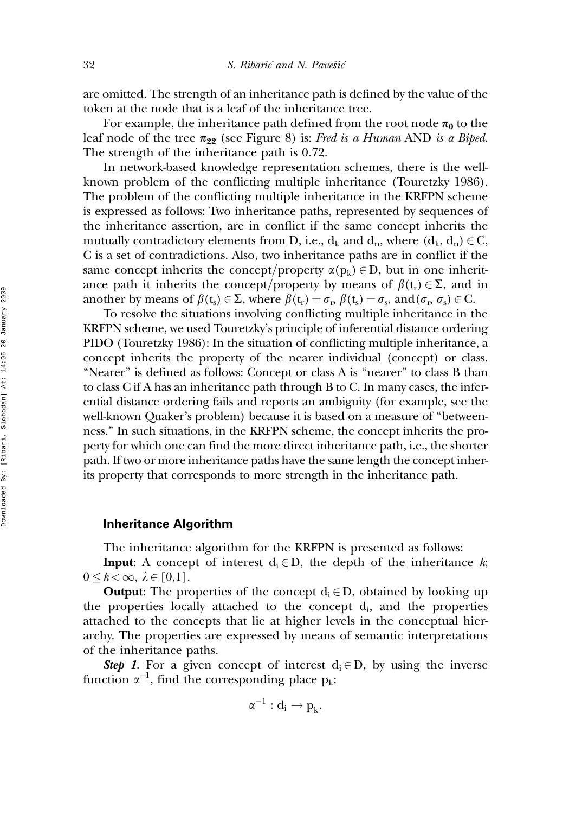are omitted. The strength of an inheritance path is defined by the value of the token at the node that is a leaf of the inheritance tree.

For example, the inheritance path defined from the root node  $\pi_0$  to the leaf node of the tree  $\pi_{22}$  (see Figure 8) is: Fred is a Human AND is a Biped. The strength of the inheritance path is 0.72.

In network-based knowledge representation schemes, there is the wellknown problem of the conflicting multiple inheritance (Touretzky 1986). The problem of the conflicting multiple inheritance in the KRFPN scheme is expressed as follows: Two inheritance paths, represented by sequences of the inheritance assertion, are in conflict if the same concept inherits the mutually contradictory elements from D, i.e.,  $d_k$  and  $d_n$ , where  $(d_k, d_n) \in C$ , C is a set of contradictions. Also, two inheritance paths are in conflict if the same concept inherits the concept/property  $\alpha(p_k) \in D$ , but in one inheritance path it inherits the concept/property by means of  $\beta(t_r) \in \Sigma$ , and in another by means of  $\beta(t_s) \in \Sigma$ , where  $\beta(t_r) = \sigma_r$ ,  $\beta(t_s) = \sigma_s$ , and  $(\sigma_r, \sigma_s) \in C$ .

To resolve the situations involving conflicting multiple inheritance in the KRFPN scheme, we used Touretzky's principle of inferential distance ordering PIDO (Touretzky 1986): In the situation of conflicting multiple inheritance, a concept inherits the property of the nearer individual (concept) or class. "Nearer" is defined as follows: Concept or class A is "nearer" to class B than to class C if A has an inheritance path through B to C. In many cases, the inferential distance ordering fails and reports an ambiguity (for example, see the well-known Quaker's problem) because it is based on a measure of ''betweenness.'' In such situations, in the KRFPN scheme, the concept inherits the property for which one can find the more direct inheritance path, i.e., the shorter path. If two or more inheritance paths have the same length the concept inherits property that corresponds to more strength in the inheritance path.

### Inheritance Algorithm

The inheritance algorithm for the KRFPN is presented as follows:

**Input:** A concept of interest  $d_i \in D$ , the depth of the inheritance k;  $0 \leq k < \infty, \lambda \in [0,1].$ 

**Output:** The properties of the concept  $d_i \in D$ , obtained by looking up the properties locally attached to the concept  $d_i$ , and the properties attached to the concepts that lie at higher levels in the conceptual hierarchy. The properties are expressed by means of semantic interpretations of the inheritance paths.

**Step 1.** For a given concept of interest  $d_i \in D$ , by using the inverse function  $\alpha^{-1}$ , find the corresponding place  $p_k$ :

$$
\alpha^{-1}:\mathbf{d_i}\rightarrow \mathbf{p_k}.
$$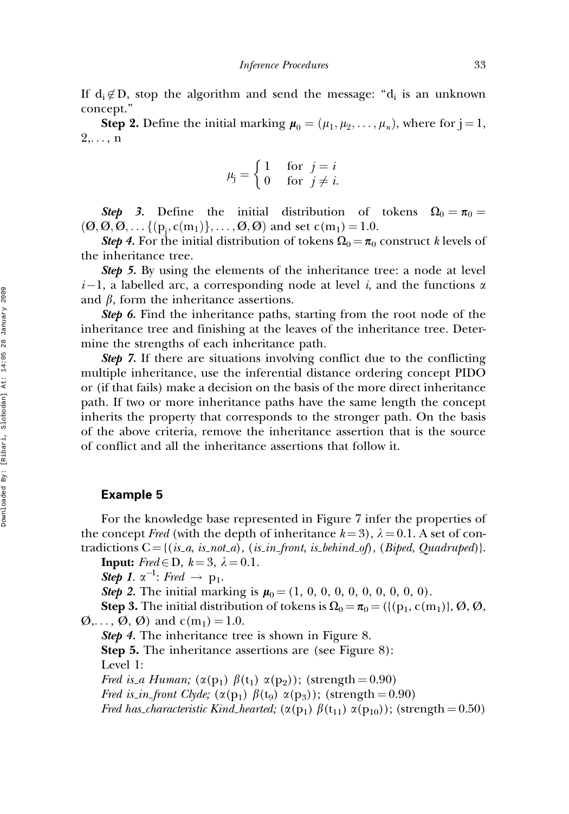If  $d_i \notin D$ , stop the algorithm and send the message: " $d_i$  is an unknown concept.''

**Step 2.** Define the initial marking  $\boldsymbol{\mu}_0 = (\mu_1, \mu_2, \dots, \mu_n)$ , where for  $j = 1$ ,  $2,\ldots,n$ 

$$
\mu_j = \begin{cases} 1 & \text{for } j = i \\ 0 & \text{for } j \neq i. \end{cases}
$$

**Step 3.** Define the initial distribution of tokens  $\Omega_0 = \pi_0 =$  $(\mathcal{O}, \mathcal{O}, \mathcal{O}, \ldots \{(\mathbf{p_j}, \mathbf{c(m_1)}\}, \ldots, \mathcal{O}, \mathcal{O})$  and set  $\mathbf{c(m_1)} = 1.0$ .

**Step 4.** For the initial distribution of tokens  $\Omega_0 = \pi_0$  construct k levels of the inheritance tree.

Step 5. By using the elements of the inheritance tree: a node at level  $i-1$ , a labelled arc, a corresponding node at level i, and the functions  $\alpha$ and  $\beta$ , form the inheritance assertions.

Step 6. Find the inheritance paths, starting from the root node of the inheritance tree and finishing at the leaves of the inheritance tree. Determine the strengths of each inheritance path.

Step 7. If there are situations involving conflict due to the conflicting multiple inheritance, use the inferential distance ordering concept PIDO or (if that fails) make a decision on the basis of the more direct inheritance path. If two or more inheritance paths have the same length the concept inherits the property that corresponds to the stronger path. On the basis of the above criteria, remove the inheritance assertion that is the source of conflict and all the inheritance assertions that follow it.

### Example 5

For the knowledge base represented in Figure 7 infer the properties of the concept Fred (with the depth of inheritance  $k = 3$ ),  $\lambda = 0.1$ . A set of contradictions  $C = \{(is\_a, is\_not\_a), (is\_in\_front, is\_behind\_of), (Biped, Quadruped)\}.$ 

**Input:** Fred  $\in$  D,  $k = 3$ ,  $\lambda = 0.1$ .

**Step 1.**  $\alpha^{-1}$ : Fred  $\rightarrow$  p<sub>1</sub>.

**Step 2.** The initial marking is  $\mu_0 = (1, 0, 0, 0, 0, 0, 0, 0, 0, 0)$ .

Step 3. The initial distribution of tokens is X<sup>0</sup> ¼ p<sup>0</sup> ¼ ({(p1, c(m1)}, Ø, Ø,  $\varnothing, \ldots, \varnothing, \varnothing$  and  $c(m_1) = 1.0$ .

Step 4. The inheritance tree is shown in Figure 8.

Step 5. The inheritance assertions are (see Figure 8): Level 1:

Fred is a Human;  $(\alpha(p_1) \ \beta(t_1) \ \alpha(p_2))$ ; (strength = 0.90) Fred is in front Clyde;  $(\alpha(p_1) \ \beta(t_9) \ \alpha(p_3))$ ; (strength = 0.90) Fred has characteristic Kind hearted;  $(\alpha(p_1) \beta(t_{11}) \alpha(p_{10}))$ ; (strength = 0.50)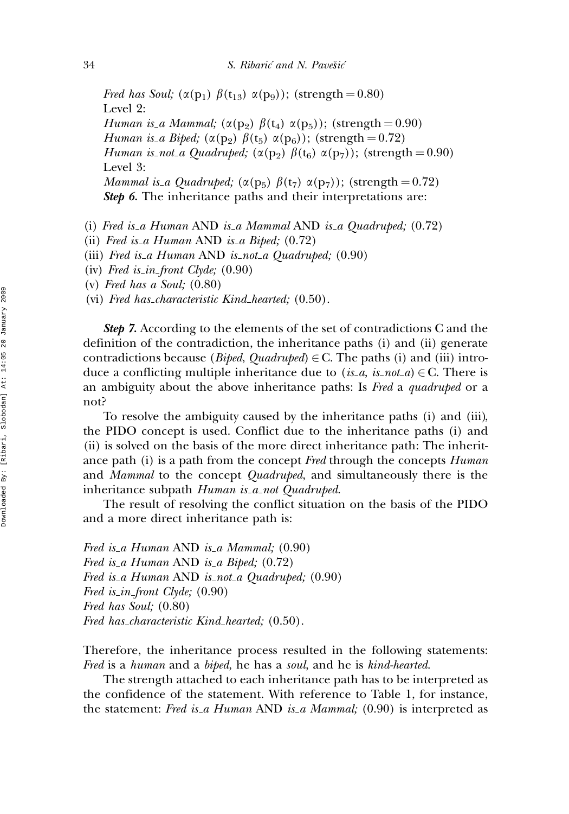Fred has Soul;  $(\alpha(p_1) \beta(t_{13}) \alpha(p_9))$ ; (strength = 0.80) Level 2: Human is a Mammal;  $(\alpha(p_2) \beta(t_4) \alpha(p_5))$ ; (strength = 0.90) Human is a Biped;  $(\alpha(p_2) \beta(t_5) \alpha(p_6))$ ; (strength = 0.72) Human is\_not\_a Quadruped;  $(\alpha(p_2) \beta(t_6) \alpha(p_7))$ ; (strength = 0.90) Level 3: *Mammal is a Quadruped;* ( $\alpha$ ( $p_5$ )  $\beta$ ( $t_7$ )  $\alpha$ ( $p_7$ )); (strength = 0.72) Step 6. The inheritance paths and their interpretations are:

- (i) Fred is a Human AND is a Mammal AND is a Quadruped; (0.72)
- (ii) Fred is a Human AND is a Biped;  $(0.72)$
- (iii) Fred is a Human AND is not a Quadruped;  $(0.90)$

(iv) Fred is in front Clyde;  $(0.90)$ 

(v) Fred has a Soul; (0.80)

(vi) Fred has characteristic Kind hearted; (0.50).

**Step 7.** According to the elements of the set of contradictions C and the definition of the contradiction, the inheritance paths (i) and (ii) generate contradictions because (*Biped, Quadruped*)  $\in$  C. The paths (i) and (iii) introduce a conflicting multiple inheritance due to  $(is_a, is_{\text{not-}a}) \in C$ . There is an ambiguity about the above inheritance paths: Is Fred a quadruped or a not?

To resolve the ambiguity caused by the inheritance paths (i) and (iii), the PIDO concept is used. Conflict due to the inheritance paths (i) and (ii) is solved on the basis of the more direct inheritance path: The inheritance path (i) is a path from the concept Fred through the concepts Human and *Mammal* to the concept *Quadruped*, and simultaneously there is the inheritance subpath Human is a not Quadruped.

The result of resolving the conflict situation on the basis of the PIDO and a more direct inheritance path is:

Fred is a Human AND is a Mammal;  $(0.90)$ Fred is a Human AND is a Biped;  $(0.72)$ Fred is a Human AND is not a Quadruped; (0.90) Fred is in front Clyde;  $(0.90)$ Fred has Soul; (0.80) Fred has characteristic Kind hearted; (0.50).

Therefore, the inheritance process resulted in the following statements: Fred is a human and a biped, he has a soul, and he is kind-hearted.

The strength attached to each inheritance path has to be interpreted as the confidence of the statement. With reference to Table 1, for instance, the statement: Fred is a Human AND is a Mammal;  $(0.90)$  is interpreted as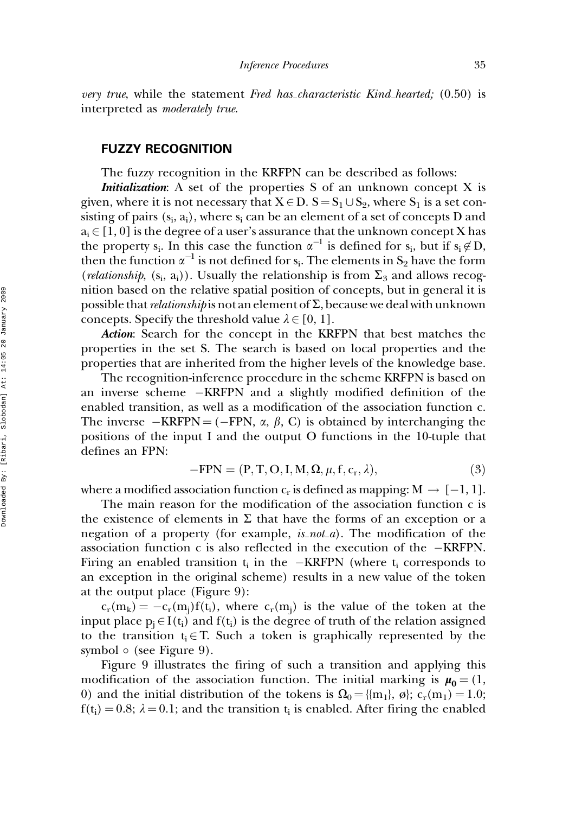very true, while the statement Fred has characteristic Kind hearted; (0.50) is interpreted as moderately true.

# FUZZY RECOGNITION

The fuzzy recognition in the KRFPN can be described as follows:

Initialization: A set of the properties S of an unknown concept X is given, where it is not necessary that  $X \in D$ .  $S = S_1 \cup S_2$ , where  $S_1$  is a set consisting of pairs  $(s_i, a_i)$ , where  $s_i$  can be an element of a set of concepts D and  $a_i \in [1, 0]$  is the degree of a user's assurance that the unknown concept X has the property s<sub>i</sub>. In this case the function  $\alpha^{-1}$  is defined for s<sub>i</sub>, but if  $s_i \notin D$ , then the function  $\alpha^{-1}$  is not defined for s<sub>i</sub>. The elements in S<sub>2</sub> have the form (*relationship*,  $(s_i, a_i)$ ). Usually the relationship is from  $\Sigma_3$  and allows recognition based on the relative spatial position of concepts, but in general it is possible that *relationship* is not an element of  $\Sigma$ , because we deal with unknown concepts. Specify the threshold value  $\lambda \in [0, 1]$ .

Action: Search for the concept in the KRFPN that best matches the properties in the set S. The search is based on local properties and the properties that are inherited from the higher levels of the knowledge base.

The recognition-inference procedure in the scheme KRFPN is based on an inverse scheme -KRFPN and a slightly modified definition of the enabled transition, as well as a modification of the association function c. The inverse  $-KRFPN = (-FPN, \alpha, \beta, C)$  is obtained by interchanging the positions of the input I and the output O functions in the 10-tuple that defines an FPN:

$$
-FPN = (P, T, O, I, M, \Omega, \mu, f, c_r, \lambda),
$$
\n(3)

where a modified association function  $c_r$  is defined as mapping:  $M \rightarrow [-1, 1]$ .

The main reason for the modification of the association function c is the existence of elements in  $\Sigma$  that have the forms of an exception or a negation of a property (for example,  $is\_not\_a$ ). The modification of the association function c is also reflected in the execution of the  $-KRFPN$ . Firing an enabled transition  $t_i$  in the  $-KRFPN$  (where  $t_i$  corresponds to an exception in the original scheme) results in a new value of the token at the output place (Figure 9):

 $c_r(m_k) = -c_r(m_i)f(t_i)$ , where  $c_r(m_i)$  is the value of the token at the input place  $p_i \in I(t_i)$  and  $f(t_i)$  is the degree of truth of the relation assigned to the transition  $t_i \in T$ . Such a token is graphically represented by the symbol  $\circ$  (see Figure 9).

Figure 9 illustrates the firing of such a transition and applying this modification of the association function. The initial marking is  $\mu_0 = (1, 1, 1)$ 0) and the initial distribution of the tokens is  $\Omega_0 = \{m_1\}$ ,  $\emptyset$ ; c<sub>r</sub>(m<sub>1</sub>) = 1.0;  $f(t_i) = 0.8$ ;  $\lambda = 0.1$ ; and the transition t<sub>i</sub> is enabled. After firing the enabled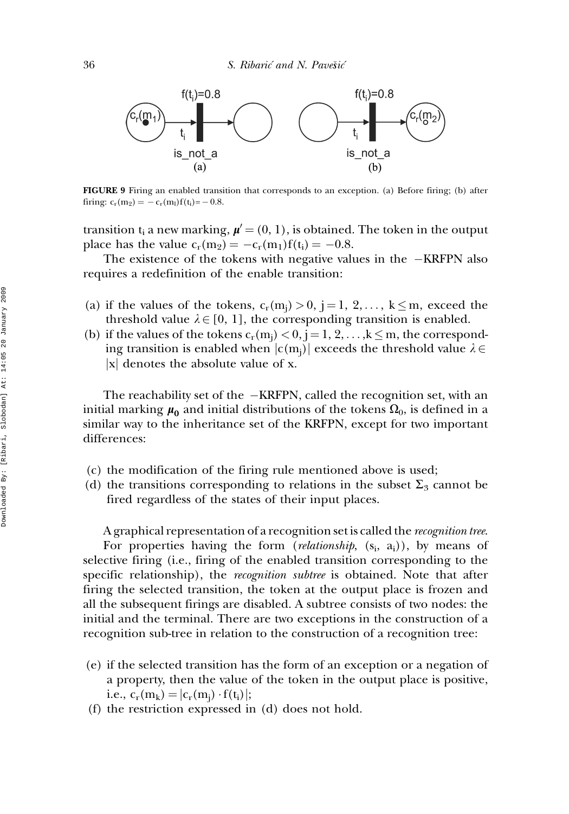

FIGURE 9 Firing an enabled transition that corresponds to an exception. (a) Before firing; (b) after firing:  $c_r(m_2) = -c_r(m_l)f(t_i) = -0.8$ .

transition t<sub>i</sub> a new marking,  $\mu' = (0, 1)$ , is obtained. The token in the output place has the value  $c_r(m_2) = -c_r(m_1)f(t_i) = -0.8$ .

The existence of the tokens with negative values in the  $-KRFPN$  also requires a redefinition of the enable transition:

- (a) if the values of the tokens,  $c_r(m_i) > 0$ , j = 1, 2, ...,  $k \le m$ , exceed the threshold value  $\lambda \in [0, 1]$ , the corresponding transition is enabled.
- (b) if the values of the tokens  $c_r(m_i) < 0$ ,  $j = 1, 2, \ldots, k \le m$ , the corresponding transition is enabled when  $|c(m_i)|$  exceeds the threshold value  $\lambda \in$  $|x|$  denotes the absolute value of x.

The reachability set of the  $-KRFPN$ , called the recognition set, with an initial marking  $\mu_0$  and initial distributions of the tokens  $\Omega_0$ , is defined in a similar way to the inheritance set of the KRFPN, except for two important differences:

- (c) the modification of the firing rule mentioned above is used;
- (d) the transitions corresponding to relations in the subset  $\Sigma_3$  cannot be fired regardless of the states of their input places.

A graphical representation of a recognition set is called the recognition tree.

For properties having the form (*relationship*,  $(s_i, a_i)$ ), by means of selective firing (i.e., firing of the enabled transition corresponding to the specific relationship), the *recognition subtree* is obtained. Note that after firing the selected transition, the token at the output place is frozen and all the subsequent firings are disabled. A subtree consists of two nodes: the initial and the terminal. There are two exceptions in the construction of a recognition sub-tree in relation to the construction of a recognition tree:

- (e) if the selected transition has the form of an exception or a negation of a property, then the value of the token in the output place is positive, i.e.,  $c_r(m_k) = |c_r(m_j) \cdot f(t_i)|;$
- (f) the restriction expressed in (d) does not hold.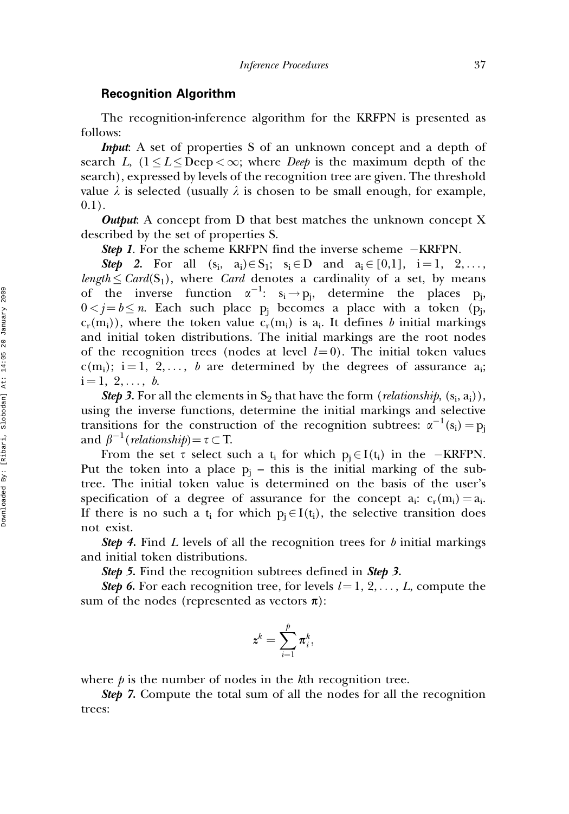#### Recognition Algorithm

The recognition-inference algorithm for the KRFPN is presented as follows:

*Input*: A set of properties S of an unknown concept and a depth of search L,  $(1 \leq L \leq \text{Deep} \leq \infty;$  where *Deep* is the maximum depth of the search), expressed by levels of the recognition tree are given. The threshold value  $\lambda$  is selected (usually  $\lambda$  is chosen to be small enough, for example,  $0.1$ ).

**Output:** A concept from D that best matches the unknown concept X described by the set of properties S.

Step 1. For the scheme KRFPN find the inverse scheme -KRFPN.

**Step 2.** For all  $(s_i, a_i) \in S_1$ ;  $s_i \in D$  and  $a_i \in [0,1]$ ,  $i = 1, 2, ...,$ length  $\leq$  Card(S<sub>1</sub>), where Card denotes a cardinality of a set, by means of the inverse function  $\alpha^{-1}$ :  $s_i \rightarrow p_j$ , determine the places  $p_j$ ,  $0 < j = b \le n$ . Each such place  $p_i$  becomes a place with a token ( $p_i$ ,  $c_r(m_i)$ , where the token value  $c_r(m_i)$  is  $a_i$ . It defines b initial markings and initial token distributions. The initial markings are the root nodes of the recognition trees (nodes at level  $l = 0$ ). The initial token values  $c(m_i)$ ; i = 1, 2, ..., b are determined by the degrees of assurance a<sub>i</sub>;  $i = 1, 2, \ldots, b.$ 

**Step 3.** For all the elements in  $S_2$  that have the form (*relationship*,  $(s_i, a_i)$ ), using the inverse functions, determine the initial markings and selective transitions for the construction of the recognition subtrees:  $\alpha^{-1}(s_i) = p_j$ and  $\beta^{-1}$  (*relationship*) =  $\tau$   $\subset$  T.

From the set  $\tau$  select such a  $t_i$  for which  $p_j \in I(t_i)$  in the  $-KRFPN$ . Put the token into a place  $p_i$  – this is the initial marking of the subtree. The initial token value is determined on the basis of the user's specification of a degree of assurance for the concept  $a_i$ :  $c_r(m_i) = a_i$ . If there is no such a  $t_i$  for which  $p_i \in I(t_i)$ , the selective transition does not exist.

**Step 4.** Find L levels of all the recognition trees for b initial markings and initial token distributions.

Step 5. Find the recognition subtrees defined in Step 3.

**Step 6.** For each recognition tree, for levels  $l = 1, 2, \ldots, L$ , compute the sum of the nodes (represented as vectors  $\pi$ ):

$$
\pmb{z}^k = \sum_{i=1}^p \pmb{\pi}^k_i,
$$

where  $\dot{p}$  is the number of nodes in the kth recognition tree.

**Step 7.** Compute the total sum of all the nodes for all the recognition trees: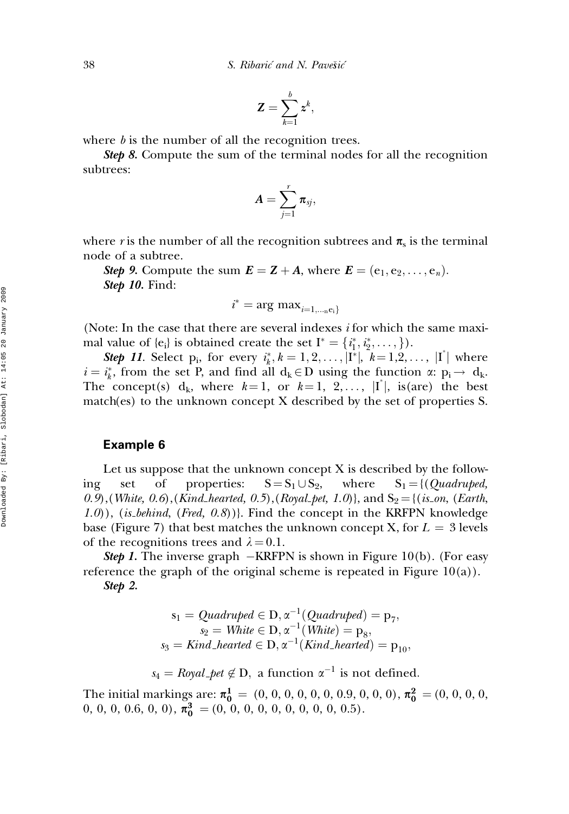$$
\mathbf{Z}=\sum_{k=1}^b z^k,
$$

where  $b$  is the number of all the recognition trees.

Step 8. Compute the sum of the terminal nodes for all the recognition subtrees:

$$
\pmb{A} = \sum_{j=1}^r \pmb{\pi}_{sj},
$$

where r is the number of all the recognition subtrees and  $\pi_s$  is the terminal node of a subtree.

Step 9. Compute the sum  $\mathbf{E} = \mathbf{Z} + \mathbf{A}$ , where  $\mathbf{E} = (\mathbf{e}_1, \mathbf{e}_2, \dots, \mathbf{e}_n)$ . **Step 10.** Find:

$$
i^* = \arg \max_{i=1,\dots, e_i}
$$

(Note: In the case that there are several indexes i for which the same maximal value of  $\{e_i\}$  is obtained create the set  $I^* = \{i_1^*, i_2^*, \dots, \}$ .

**Step 11.** Select p<sub>i</sub>, for every  $i_k^*$ ,  $k = 1, 2, ..., |\mathbf{I}^*|$ ,  $k = 1, 2, ..., |\mathbf{I}^*|$  where  $i = i_k^*$ , from the set P, and find all  $d_k \in D$  using the function  $\alpha: p_i \to d_k$ . The concept(s)  $d_k$ , where  $k=1$ , or  $k=1$ , 2,...,  $|I^*|$ , is(are) the best match(es) to the unknown concept X described by the set of properties S.

### Example 6

Let us suppose that the unknown concept X is described by the following set of properties:  $S = S_1 \cup S_2$ , where  $S_1 = \{ (Quadruped,$ 0.9),(White, 0.6),(Kind\_hearted, 0.5),(Royal\_pet, 1.0)}, and  $S_2 = \{(is\_on, (Earth,$  $(1.0)$ , (is behind, (Fred,  $(0.8)$ ). Find the concept in the KRFPN knowledge base (Figure 7) that best matches the unknown concept X, for  $L = 3$  levels of the recognitions trees and  $\lambda = 0.1$ .

**Step 1.** The inverse graph  $-KRFPN$  is shown in Figure 10(b). (For easy reference the graph of the original scheme is repeated in Figure  $10(a)$ ).

Step 2.

$$
s_1 = Quadruped \in D, \alpha^{-1}(Quadruped) = p_7,
$$
  
\n
$$
s_2 = White \in D, \alpha^{-1}(White) = p_8,
$$
  
\n
$$
s_3 = Kind\_hearted \in D, \alpha^{-1}(Kind\_hearted) = p_{10},
$$

 $s_4 = Royal{\text{-}}pet \notin D$ , a function  $\alpha^{-1}$  is not defined.

The initial markings are:  $\pi_0^1 = (0, 0, 0, 0, 0, 0, 0, 0, 0, 0)$ ,  $\pi_0^2 = (0, 0, 0, 0, 0, 0)$  $0, 0, 0, 0.6, 0, 0), \pi_0^3 = (0, 0, 0, 0, 0, 0, 0, 0, 0.5).$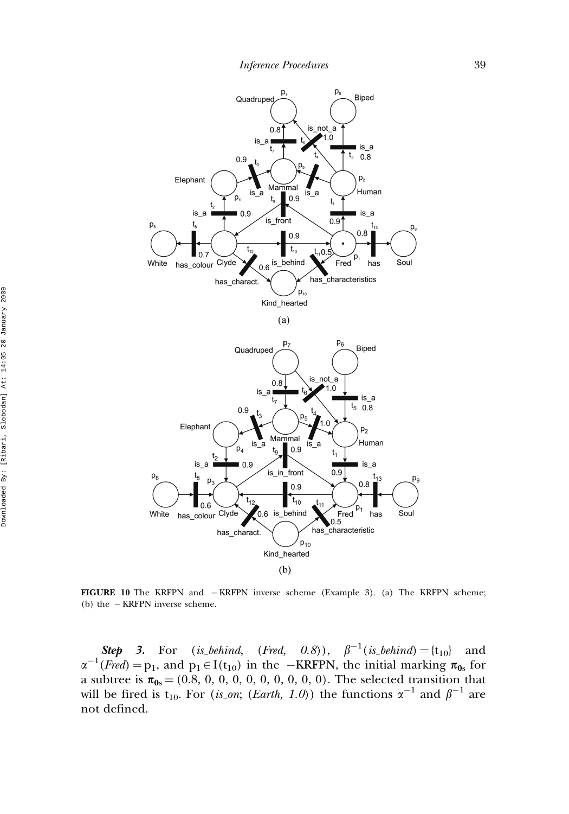

FIGURE 10 The KRFPN and  $-KRFPN$  inverse scheme (Example 3). (a) The KRFPN scheme; (b) the  $-KRFPN$  inverse scheme.

**Step 3.** For (is behind, (Fred, 0.8)),  $\beta^{-1}$  (is behind) = {t<sub>10</sub>} and  $\alpha^{-1}$ (Fred) = p<sub>1</sub>, and p<sub>1</sub>  $\in$  I(t<sub>10</sub>) in the -KRFPN, the initial marking  $\pi_{0s}$  for a subtree is  $\pi_{0s} = (0.8, 0, 0, 0, 0, 0, 0, 0, 0, 0)$ . The selected transition that will be fired is t<sub>10</sub>. For (*is\_on*; (*Earth*, 1.0)) the functions  $\alpha^{-1}$  and  $\beta^{-1}$  are not defined.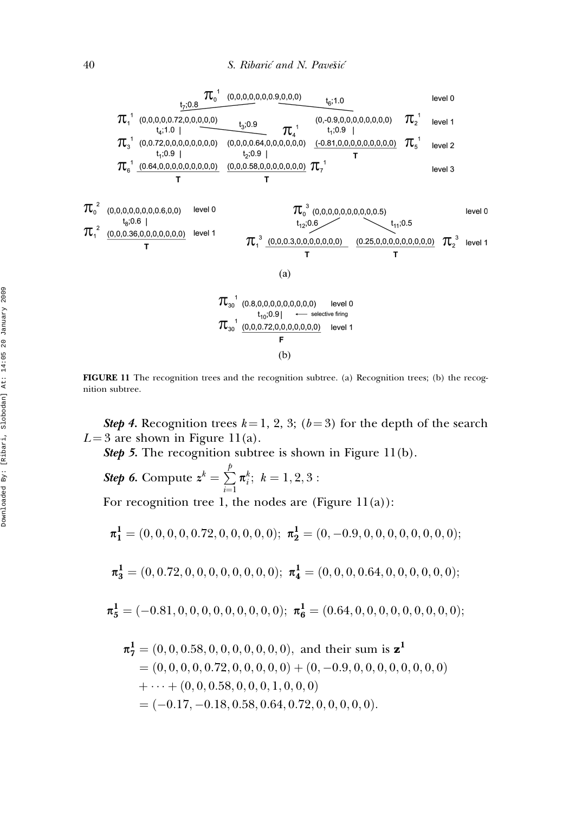

FIGURE 11 The recognition trees and the recognition subtree. (a) Recognition trees; (b) the recognition subtree.

Step 4. Recognition trees  $k = 1, 2, 3$ ; ( $b = 3$ ) for the depth of the search  $L = 3$  are shown in Figure 11(a).

Step 5. The recognition subtree is shown in Figure 11(b).

Step 6. Compute  $\boldsymbol{z}^k = \sum^{p}$  $i=1$  $\pi_i^k; k = 1, 2, 3:$ 

For recognition tree 1, the nodes are (Figure  $11(a)$ ):

$$
\pi_1^1 = (0, 0, 0, 0, 0.72, 0, 0, 0, 0, 0); \; \pi_2^1 = (0, -0.9, 0, 0, 0, 0, 0, 0, 0, 0);
$$

$$
\pi_3^1 = (0, 0.72, 0, 0, 0, 0, 0, 0, 0, 0); \pi_4^1 = (0, 0, 0, 0.64, 0, 0, 0, 0, 0, 0);
$$

$$
\pi_5^1 = (-0.81, 0, 0, 0, 0, 0, 0, 0, 0, 0); \ \pi_6^1 = (0.64, 0, 0, 0, 0, 0, 0, 0, 0, 0);
$$

$$
\begin{aligned}\n\pi_7^1 &= (0, 0, 0.58, 0, 0, 0, 0, 0, 0, 0), \text{ and their sum is } \mathbf{z}^1 \\
&= (0, 0, 0, 0, 0.72, 0, 0, 0, 0, 0) + (0, -0.9, 0, 0, 0, 0, 0, 0, 0) \\
&\quad + \cdots + (0, 0, 0.58, 0, 0, 0, 1, 0, 0, 0) \\
&= (-0.17, -0.18, 0.58, 0.64, 0.72, 0, 0, 0, 0, 0).\n\end{aligned}
$$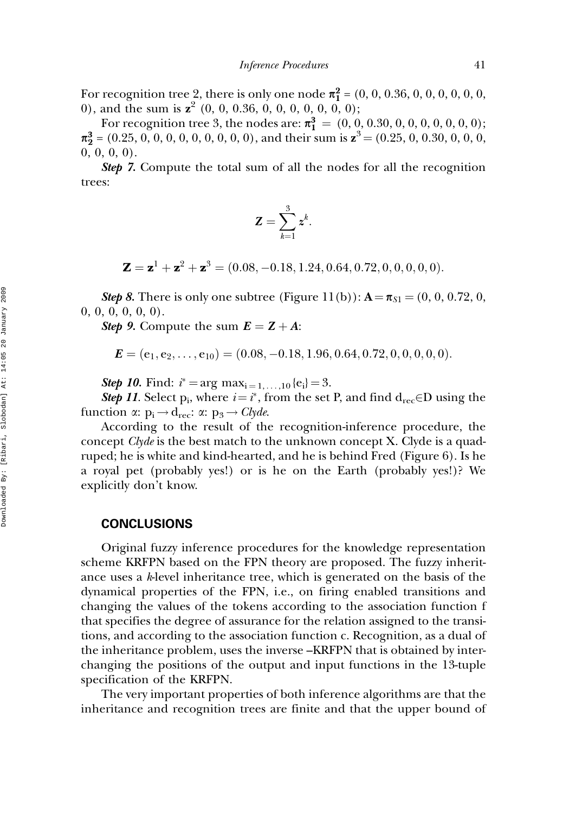For recognition tree 2, there is only one node  $\pi_1^2 = (0, 0, 0.36, 0, 0, 0, 0, 0, 0, 0)$ 0), and the sum is  $z^2$  (0, 0, 0.36, 0, 0, 0, 0, 0, 0, 0);

For recognition tree 3, the nodes are:  $\pi_1^3 = (0, 0, 0.30, 0, 0, 0, 0, 0, 0, 0)$ ;  $\pi_2^3$  = (0.25, 0, 0, 0, 0, 0, 0, 0, 0, 0, 0), and their sum is  $z^3$  = (0.25, 0, 0.30, 0, 0, 0, 0, 0, 0, 0).

Step 7. Compute the total sum of all the nodes for all the recognition trees:

$$
\mathbf{Z} = \sum_{k=1}^3 \boldsymbol{z}^k.
$$

 $\mathbf{Z} = \mathbf{z}^1 + \mathbf{z}^2 + \mathbf{z}^3 = (0.08, -0.18, 1.24, 0.64, 0.72, 0, 0, 0, 0, 0).$ 

**Step 8.** There is only one subtree (Figure 11(b)):  $A = \pi_{S1} = (0, 0, 0.72, 0, 0.72)$  $0, 0, 0, 0, 0, 0$ .

Step 9. Compute the sum  $E = Z + A$ :

$$
\boldsymbol{E} = (e_1, e_2, \ldots, e_{10}) = (0.08, -0.18, 1.96, 0.64, 0.72, 0, 0, 0, 0, 0).
$$

**Step 10.** Find:  $i^* = \arg \max_{i=1,...,10} \{e_i\} = 3$ .

**Step 11.** Select  $p_i$ , where  $i = i^*$ , from the set P, and find  $d_{rec} \in D$  using the function  $\alpha: p_i \rightarrow d_{\text{rec}}: \alpha: p_3 \rightarrow \text{Clyde}.$ 

According to the result of the recognition-inference procedure, the concept *Clyde* is the best match to the unknown concept X. Clyde is a quadruped; he is white and kind-hearted, and he is behind Fred (Figure 6). Is he a royal pet (probably yes!) or is he on the Earth (probably yes!)? We explicitly don't know.

#### **CONCLUSIONS**

Original fuzzy inference procedures for the knowledge representation scheme KRFPN based on the FPN theory are proposed. The fuzzy inheritance uses a k-level inheritance tree, which is generated on the basis of the dynamical properties of the FPN, i.e., on firing enabled transitions and changing the values of the tokens according to the association function f that specifies the degree of assurance for the relation assigned to the transitions, and according to the association function c. Recognition, as a dual of the inheritance problem, uses the inverse –KRFPN that is obtained by interchanging the positions of the output and input functions in the 13-tuple specification of the KRFPN.

The very important properties of both inference algorithms are that the inheritance and recognition trees are finite and that the upper bound of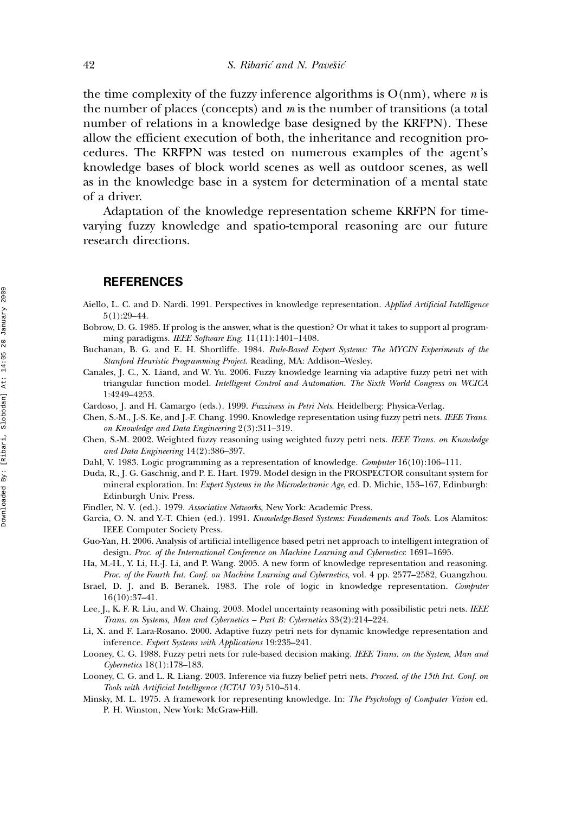the time complexity of the fuzzy inference algorithms is  $O(nm)$ , where *n* is the number of places (concepts) and  $m$  is the number of transitions (a total number of relations in a knowledge base designed by the KRFPN). These allow the efficient execution of both, the inheritance and recognition procedures. The KRFPN was tested on numerous examples of the agent's knowledge bases of block world scenes as well as outdoor scenes, as well as in the knowledge base in a system for determination of a mental state of a driver.

Adaptation of the knowledge representation scheme KRFPN for timevarying fuzzy knowledge and spatio-temporal reasoning are our future research directions.

#### **REFERENCES**

- Aiello, L. C. and D. Nardi. 1991. Perspectives in knowledge representation. Applied Artificial Intelligence 5(1):29–44.
- Bobrow, D. G. 1985. If prolog is the answer, what is the question? Or what it takes to support al programming paradigms. IEEE Software Eng. 11(11):1401-1408.

Buchanan, B. G. and E. H. Shortliffe. 1984. Rule-Based Expert Systems: The MYCIN Experiments of the Stanford Heuristic Programming Project. Reading, MA: Addison–Wesley.

- Canales, J. C., X. Liand, and W. Yu. 2006. Fuzzy knowledge learning via adaptive fuzzy petri net with triangular function model. Intelligent Control and Automation. The Sixth World Congress on WCICA 1:4249–4253.
- Cardoso, J. and H. Camargo (eds.). 1999. Fuzziness in Petri Nets. Heidelberg: Physica-Verlag.
- Chen, S.-M., J.-S. Ke, and J.-F. Chang. 1990. Knowledge representation using fuzzy petri nets. IEEE Trans. on Knowledge and Data Engineering 2(3):311–319.
- Chen, S.-M. 2002. Weighted fuzzy reasoning using weighted fuzzy petri nets. IEEE Trans. on Knowledge and Data Engineering 14(2):386–397.
- Dahl, V. 1983. Logic programming as a representation of knowledge. Computer 16(10):106–111.
- Duda, R., J. G. Gaschnig, and P. E. Hart. 1979. Model design in the PROSPECTOR consultant system for mineral exploration. In: Expert Systems in the Microelectronic Age, ed. D. Michie, 153-167, Edinburgh: Edinburgh Univ. Press.
- Findler, N. V. (ed.). 1979. Associative Networks, New York: Academic Press.
- Garcia, O. N. and Y.-T. Chien (ed.). 1991. Knowledge-Based Systems: Fundaments and Tools. Los Alamitos: IEEE Computer Society Press.
- Guo-Yan, H. 2006. Analysis of artificial intelligence based petri net approach to intelligent integration of design. Proc. of the International Conference on Machine Learning and Cybernetics: 1691–1695.
- Ha, M.-H., Y. Li, H.-J. Li, and P. Wang. 2005. A new form of knowledge representation and reasoning. Proc. of the Fourth Int. Conf. on Machine Learning and Cybernetics, vol. 4 pp. 2577–2582, Guangzhou.
- Israel, D. J. and B. Beranek. 1983. The role of logic in knowledge representation. Computer 16(10):37–41.
- Lee, J., K. F. R. Liu, and W. Chaing. 2003. Model uncertainty reasoning with possibilistic petri nets. IEEE Trans. on Systems, Man and Cybernetics – Part B: Cybernetics 33(2):214–224.
- Li, X. and F. Lara-Rosano. 2000. Adaptive fuzzy petri nets for dynamic knowledge representation and inference. Expert Systems with Applications 19:235–241.
- Looney, C. G. 1988. Fuzzy petri nets for rule-based decision making. IEEE Trans. on the System, Man and Cybernetics 18(1):178–183.
- Looney, C. G. and L. R. Liang. 2003. Inference via fuzzy belief petri nets. Proceed. of the 15th Int. Conf. on Tools with Artificial Intelligence (ICTAI '03) 510–514.
- Minsky, M. L. 1975. A framework for representing knowledge. In: The Psychology of Computer Vision ed. P. H. Winston, New York: McGraw-Hill.